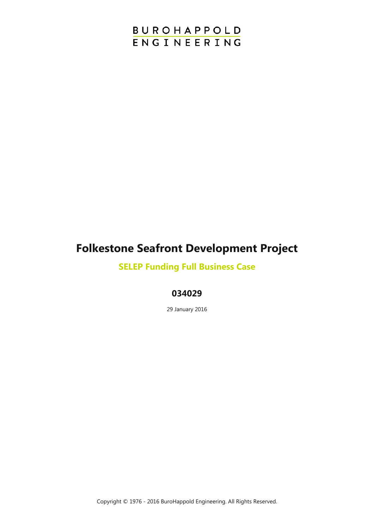# **BUROHAPPOLD** ENGINEERING

# **Folkestone Seafront Development Project**

**SELEP Funding Full Business Case**

# **034029**

29 January 2016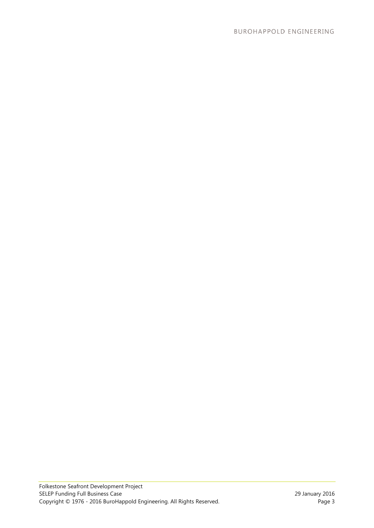# BUROHAPPOLD ENGINEERING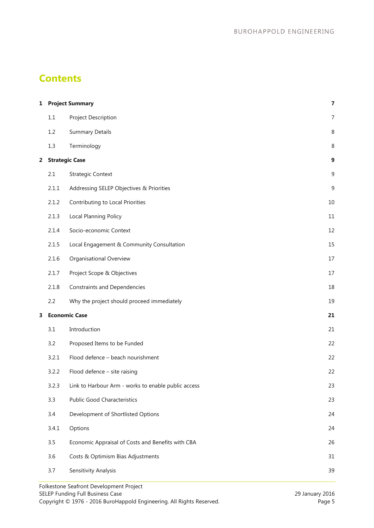# **Contents**

|   |                       | 1 Project Summary                                   | $\overline{\mathbf{z}}$ |
|---|-----------------------|-----------------------------------------------------|-------------------------|
|   | 1.1                   | Project Description                                 | $\overline{7}$          |
|   | 1.2                   | <b>Summary Details</b>                              | 8                       |
|   | 1.3                   | Terminology                                         | 8                       |
| 2 | <b>Strategic Case</b> |                                                     | $\boldsymbol{9}$        |
|   | 2.1                   | <b>Strategic Context</b>                            | $9$                     |
|   | 2.1.1                 | Addressing SELEP Objectives & Priorities            | $\boldsymbol{9}$        |
|   | 2.1.2                 | Contributing to Local Priorities                    | $10\,$                  |
|   | 2.1.3                 | Local Planning Policy                               | $11\,$                  |
|   | 2.1.4                 | Socio-economic Context                              | 12                      |
|   | 2.1.5                 | Local Engagement & Community Consultation           | 15                      |
|   | 2.1.6                 | <b>Organisational Overview</b>                      | $17\,$                  |
|   | 2.1.7                 | Project Scope & Objectives                          | 17                      |
|   | 2.1.8                 | <b>Constraints and Dependencies</b>                 | 18                      |
|   | 2.2                   | Why the project should proceed immediately          | 19                      |
| 3 |                       | <b>Economic Case</b>                                | 21                      |
|   | 3.1                   | Introduction                                        | 21                      |
|   | 3.2                   | Proposed Items to be Funded                         | 22                      |
|   | 3.2.1                 | Flood defence - beach nourishment                   | 22                      |
|   | 3.2.2                 | Flood defence - site raising                        | 22                      |
|   | 3.2.3                 | Link to Harbour Arm - works to enable public access | 23                      |
|   | 3.3                   | <b>Public Good Characteristics</b>                  | 23                      |
|   | 3.4                   | Development of Shortlisted Options                  | 24                      |
|   | 3.4.1                 | Options                                             | 24                      |
|   | 3.5                   | Economic Appraisal of Costs and Benefits with CBA   | 26                      |
|   | 3.6                   | Costs & Optimism Bias Adjustments                   | 31                      |
|   | 3.7                   | Sensitivity Analysis                                | 39                      |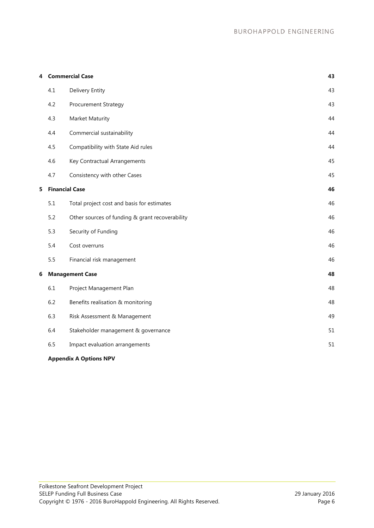|   |                       | 4 Commercial Case                               | 43 |
|---|-----------------------|-------------------------------------------------|----|
|   | 4.1                   | <b>Delivery Entity</b>                          | 43 |
|   | 4.2                   | <b>Procurement Strategy</b>                     | 43 |
|   | 4.3                   | <b>Market Maturity</b>                          | 44 |
|   | 4.4                   | Commercial sustainability                       | 44 |
|   | 4.5                   | Compatibility with State Aid rules              | 44 |
|   | 4.6                   | Key Contractual Arrangements                    | 45 |
|   | 4.7                   | Consistency with other Cases                    | 45 |
| 5 | <b>Financial Case</b> |                                                 | 46 |
|   | 5.1                   | Total project cost and basis for estimates      | 46 |
|   | 5.2                   | Other sources of funding & grant recoverability | 46 |
|   | 5.3                   | Security of Funding                             | 46 |
|   | 5.4                   | Cost overruns                                   | 46 |
|   | 5.5                   | Financial risk management                       | 46 |
| 6 |                       | <b>Management Case</b>                          | 48 |
|   | 6.1                   | Project Management Plan                         | 48 |
|   | 6.2                   | Benefits realisation & monitoring               | 48 |
|   | 6.3                   | Risk Assessment & Management                    | 49 |
|   | 6.4                   | Stakeholder management & governance             | 51 |
|   | 6.5                   | Impact evaluation arrangements                  | 51 |
|   |                       | <b>Appendix A Options NPV</b>                   |    |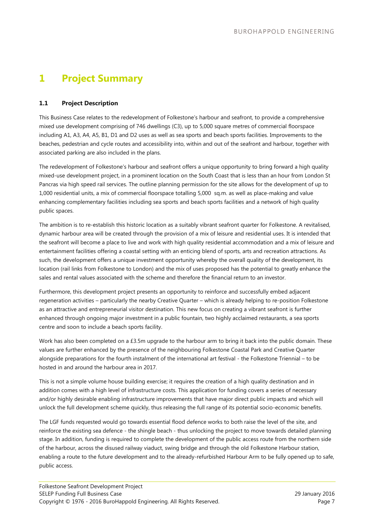# <span id="page-6-0"></span>**1 Project Summary**

# <span id="page-6-1"></span>**1.1 Project Description**

This Business Case relates to the redevelopment of Folkestone's harbour and seafront, to provide a comprehensive mixed use development comprising of 746 dwellings (C3), up to 5,000 square metres of commercial floorspace including A1, A3, A4, A5, B1, D1 and D2 uses as well as sea sports and beach sports facilities. Improvements to the beaches, pedestrian and cycle routes and accessibility into, within and out of the seafront and harbour, together with associated parking are also included in the plans.

The redevelopment of Folkestone's harbour and seafront offers a unique opportunity to bring forward a high quality mixed-use development project, in a prominent location on the South Coast that is less than an hour from London St Pancras via high speed rail services. The outline planning permission for the site allows for the development of up to 1,000 residential units, a mix of commercial floorspace totalling 5,000 sq.m. as well as place-making and value enhancing complementary facilities including sea sports and beach sports facilities and a network of high quality public spaces.

The ambition is to re-establish this historic location as a suitably vibrant seafront quarter for Folkestone. A revitalised, dynamic harbour area will be created through the provision of a mix of leisure and residential uses. It is intended that the seafront will become a place to live and work with high quality residential accommodation and a mix of leisure and entertainment facilities offering a coastal setting with an enticing blend of sports, arts and recreation attractions. As such, the development offers a unique investment opportunity whereby the overall quality of the development, its location (rail links from Folkestone to London) and the mix of uses proposed has the potential to greatly enhance the sales and rental values associated with the scheme and therefore the financial return to an investor.

Furthermore, this development project presents an opportunity to reinforce and successfully embed adjacent regeneration activities – particularly the nearby Creative Quarter – which is already helping to re-position Folkestone as an attractive and entrepreneurial visitor destination. This new focus on creating a vibrant seafront is further enhanced through ongoing major investment in a public fountain, two highly acclaimed restaurants, a sea sports centre and soon to include a beach sports facility.

Work has also been completed on a £3.5m upgrade to the harbour arm to bring it back into the public domain. These values are further enhanced by the presence of the neighbouring Folkestone Coastal Park and Creative Quarter alongside preparations for the fourth instalment of the international art festival - the Folkestone Triennial – to be hosted in and around the harbour area in 2017.

This is not a simple volume house building exercise; it requires the creation of a high quality destination and in addition comes with a high level of infrastructure costs. This application for funding covers a series of necessary and/or highly desirable enabling infrastructure improvements that have major direct public impacts and which will unlock the full development scheme quickly, thus releasing the full range of its potential socio-economic benefits.

The LGF funds requested would go towards essential flood defence works to both raise the level of the site, and reinforce the existing sea defence - the shingle beach - thus unlocking the project to move towards detailed planning stage. In addition, funding is required to complete the development of the public access route from the northern side of the harbour, across the disused railway viaduct, swing bridge and through the old Folkestone Harbour station, enabling a route to the future development and to the already-refurbished Harbour Arm to be fully opened up to safe, public access.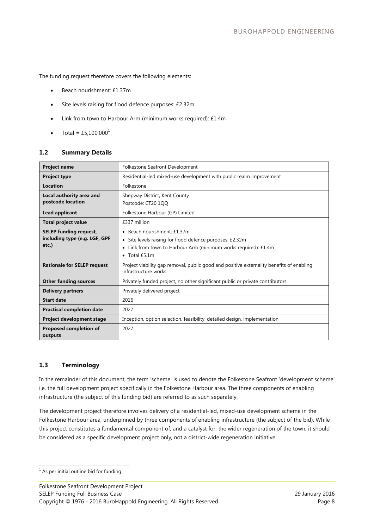The funding request therefore covers the following elements:

- Beach nourishment: £1.37m
- Site levels raising for flood defence purposes: £2.32m
- Link from town to Harbour Arm (minimum works required): £1.4m
- Total = £5,100,000<sup>1</sup>

#### <span id="page-7-0"></span>**1.2 Summary Details**

| <b>Project name</b>                                                     | Folkestone Seafront Development                                                                                                                                                                |  |
|-------------------------------------------------------------------------|------------------------------------------------------------------------------------------------------------------------------------------------------------------------------------------------|--|
| <b>Project type</b>                                                     | Residential-led mixed-use development with public realm improvement                                                                                                                            |  |
| Location                                                                | Folkestone                                                                                                                                                                                     |  |
| Local authority area and<br>postcode location                           | Shepway District, Kent County<br>Postcode: CT20 1QQ                                                                                                                                            |  |
| <b>Lead applicant</b>                                                   | Folkestone Harbour (GP) Limited                                                                                                                                                                |  |
| <b>Total project value</b>                                              | £337 million                                                                                                                                                                                   |  |
| <b>SELEP funding request,</b><br>including type (e.g. LGF, GPF<br>etc.) | • Beach nourishment: £1.37m<br>• Site levels raising for flood defence purposes: £2.32m<br>Link from town to Harbour Arm (minimum works required): £1.4m<br>$\bullet$<br>$\bullet$ Total £5.1m |  |
| <b>Rationale for SELEP request</b>                                      | Project viability gap removal, public good and positive externality benefits of enabling<br>infrastructure works.                                                                              |  |
| <b>Other funding sources</b>                                            | Privately funded project, no other significant public or private contributors                                                                                                                  |  |
| <b>Delivery partners</b>                                                | Privately delivered project                                                                                                                                                                    |  |
| <b>Start date</b>                                                       | 2016                                                                                                                                                                                           |  |
| <b>Practical completion date</b>                                        | 2027                                                                                                                                                                                           |  |
| <b>Project development stage</b>                                        | Inception, option selection, feasibility, detailed design, implementation                                                                                                                      |  |
| <b>Proposed completion of</b><br>outputs                                | 2027                                                                                                                                                                                           |  |

#### <span id="page-7-1"></span>**1.3 Terminology**

In the remainder of this document, the term 'scheme' is used to denote the Folkestone Seafront 'development scheme' i.e. the full development project specifically in the Folkestone Harbour area. The three components of enabling infrastructure (the subject of this funding bid) are referred to as such separately.

The development project therefore involves delivery of a residential-led, mixed-use development scheme in the Folkestone Harbour area, underpinned by three components of enabling infrastructure (the subject of the bid). While this project constitutes a fundamental component of, and a catalyst for, the wider regeneration of the town, it should be considered as a specific development project only, not a district-wide regeneration initiative.

<sup>&</sup>lt;u>a</u><br><sup>1</sup> As per initial outline bid for funding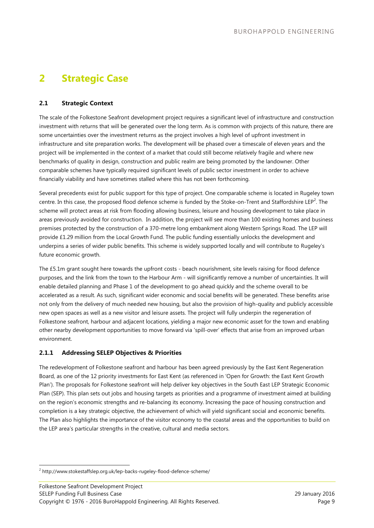# <span id="page-8-0"></span>**2 Strategic Case**

# <span id="page-8-1"></span>**2.1 Strategic Context**

The scale of the Folkestone Seafront development project requires a significant level of infrastructure and construction investment with returns that will be generated over the long term. As is common with projects of this nature, there are some uncertainties over the investment returns as the project involves a high level of upfront investment in infrastructure and site preparation works. The development will be phased over a timescale of eleven years and the project will be implemented in the context of a market that could still become relatively fragile and where new benchmarks of quality in design, construction and public realm are being promoted by the landowner. Other comparable schemes have typically required significant levels of public sector investment in order to achieve financially viability and have sometimes stalled where this has not been forthcoming.

Several precedents exist for public support for this type of project. One comparable scheme is located in Rugeley town centre. In this case, the proposed flood defence scheme is funded by the Stoke-on-Trent and Staffordshire LEP<sup>2</sup>. The scheme will protect areas at risk from flooding allowing business, leisure and housing development to take place in areas previously avoided for construction. In addition, the project will see more than 100 existing homes and business premises protected by the construction of a 370-metre long embankment along Western Springs Road. The LEP will provide £1.29 million from the Local Growth Fund. The public funding essentially unlocks the development and underpins a series of wider public benefits. This scheme is widely supported locally and will contribute to Rugeley's future economic growth.

The £5.1m grant sought here towards the upfront costs - beach nourishment, site levels raising for flood defence purposes, and the link from the town to the Harbour Arm - will significantly remove a number of uncertainties. It will enable detailed planning and Phase 1 of the development to go ahead quickly and the scheme overall to be accelerated as a result. As such, significant wider economic and social benefits will be generated. These benefits arise not only from the delivery of much needed new housing, but also the provision of high-quality and publicly accessible new open spaces as well as a new visitor and leisure assets. The project will fully underpin the regeneration of Folkestone seafront, harbour and adjacent locations, yielding a major new economic asset for the town and enabling other nearby development opportunities to move forward via 'spill-over' effects that arise from an improved urban environment.

# <span id="page-8-2"></span>**2.1.1 Addressing SELEP Objectives & Priorities**

The redevelopment of Folkestone seafront and harbour has been agreed previously by the East Kent Regeneration Board, as one of the 12 priority investments for East Kent (as referenced in 'Open for Growth: the East Kent Growth Plan'). The proposals for Folkestone seafront will help deliver key objectives in the South East LEP Strategic Economic Plan (SEP). This plan sets out jobs and housing targets as priorities and a programme of investment aimed at building on the region's economic strengths and re-balancing its economy. Increasing the pace of housing construction and completion is a key strategic objective, the achievement of which will yield significant social and economic benefits. The Plan also highlights the importance of the visitor economy to the coastal areas and the opportunities to build on the LEP area's particular strengths in the creative, cultural and media sectors.

 $\overline{a}$ 

<sup>&</sup>lt;sup>2</sup> http://www.stokestaffslep.org.uk/lep-backs-rugeley-flood-defence-scheme/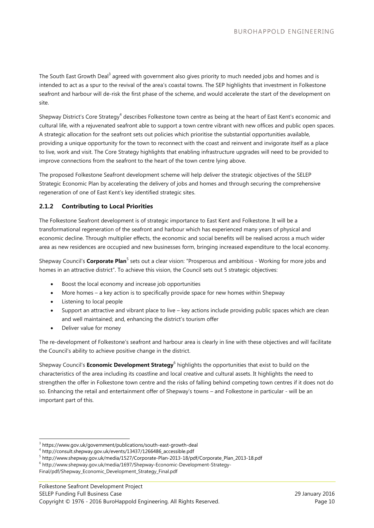The South East Growth Deal<sup>3</sup> agreed with government also gives priority to much needed jobs and homes and is intended to act as a spur to the revival of the area's coastal towns. The SEP highlights that investment in Folkestone seafront and harbour will de-risk the first phase of the scheme, and would accelerate the start of the development on site.

Shepway District's Core Strategy<sup>4</sup> describes Folkestone town centre as being at the heart of East Kent's economic and cultural life, with a rejuvenated seafront able to support a town centre vibrant with new offices and public open spaces. A strategic allocation for the seafront sets out policies which prioritise the substantial opportunities available, providing a unique opportunity for the town to reconnect with the coast and reinvent and invigorate itself as a place to live, work and visit. The Core Strategy highlights that enabling infrastructure upgrades will need to be provided to improve connections from the seafront to the heart of the town centre lying above.

The proposed Folkestone Seafront development scheme will help deliver the strategic objectives of the SELEP Strategic Economic Plan by accelerating the delivery of jobs and homes and through securing the comprehensive regeneration of one of East Kent's key identified strategic sites.

# <span id="page-9-0"></span>**2.1.2 Contributing to Local Priorities**

The Folkestone Seafront development is of strategic importance to East Kent and Folkestone. It will be a transformational regeneration of the seafront and harbour which has experienced many years of physical and economic decline. Through multiplier effects, the economic and social benefits will be realised across a much wider area as new residences are occupied and new businesses form, bringing increased expenditure to the local economy.

Shepway Council's **Corporate Plan**<sup>5</sup> sets out a clear vision: "Prosperous and ambitious - Working for more jobs and homes in an attractive district". To achieve this vision, the Council sets out 5 strategic objectives:

- Boost the local economy and increase job opportunities
- More homes a key action is to specifically provide space for new homes within Shepway
- Listening to local people
- Support an attractive and vibrant place to live key actions include providing public spaces which are clean and well maintained; and, enhancing the district's tourism offer
- Deliver value for money

 $\overline{a}$ 

The re-development of Folkestone's seafront and harbour area is clearly in line with these objectives and will facilitate the Council's ability to achieve positive change in the district.

Shepway Council's **Economic Development Strategy**<sup>6</sup> highlights the opportunities that exist to build on the characteristics of the area including its coastline and local creative and cultural assets. It highlights the need to strengthen the offer in Folkestone town centre and the risks of falling behind competing town centres if it does not do so. Enhancing the retail and entertainment offer of Shepway's towns – and Folkestone in particular - will be an important part of this.

<sup>6</sup> http://www.shepway.gov.uk/media/1697/Shepway-Economic-Development-Strategy-

<sup>&</sup>lt;sup>3</sup> <https://www.gov.uk/government/publications/south-east-growth-deal>

<sup>4</sup> [http://consult.shepway.gov.uk/events/13437/1266486\\_accessible.pdf](http://consult.shepway.gov.uk/events/13437/1266486_accessible.pdf)

<sup>&</sup>lt;sup>5</sup> [http://www.shepway.gov.uk/media/1527/Corporate-Plan-2013-18/pdf/Corporate\\_Plan\\_2013-18.pdf](http://www.shepway.gov.uk/media/1527/Corporate-Plan-2013-18/pdf/Corporate_Plan_2013-18.pdf)

Final/pdf/Shepway\_Economic\_Development\_Strategy\_Final.pdf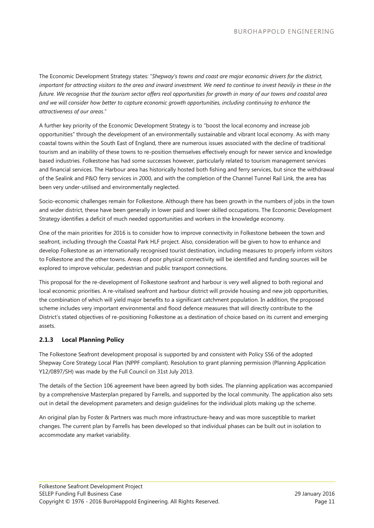The Economic Development Strategy states: "*Shepway's towns and coast are major economic drivers for the district, important for attracting visitors to the area and inward investment. We need to continue to invest heavily in these in the future. We recognise that the tourism sector offers real opportunities for growth in many of our towns and coastal area and we will consider how better to capture economic growth opportunities, including continuing to enhance the attractiveness of our areas*."

A further key priority of the Economic Development Strategy is to "boost the local economy and increase job opportunities" through the development of an environmentally sustainable and vibrant local economy. As with many coastal towns within the South East of England, there are numerous issues associated with the decline of traditional tourism and an inability of these towns to re-position themselves effectively enough for newer service and knowledge based industries. Folkestone has had some successes however, particularly related to tourism management services and financial services. The Harbour area has historically hosted both fishing and ferry services, but since the withdrawal of the Sealink and P&O ferry services in 2000, and with the completion of the Channel Tunnel Rail Link, the area has been very under-utilised and environmentally neglected.

Socio-economic challenges remain for Folkestone. Although there has been growth in the numbers of jobs in the town and wider district, these have been generally in lower paid and lower skilled occupations. The Economic Development Strategy identifies a deficit of much needed opportunities and workers in the knowledge economy.

One of the main priorities for 2016 is to consider how to improve connectivity in Folkestone between the town and seafront, including through the Coastal Park HLF project. Also, consideration will be given to how to enhance and develop Folkestone as an internationally recognised tourist destination, including measures to properly inform visitors to Folkestone and the other towns. Areas of poor physical connectivity will be identified and funding sources will be explored to improve vehicular, pedestrian and public transport connections.

This proposal for the re-development of Folkestone seafront and harbour is very well aligned to both regional and local economic priorities. A re-vitalised seafront and harbour district will provide housing and new job opportunities, the combination of which will yield major benefits to a significant catchment population. In addition, the proposed scheme includes very important environmental and flood defence measures that will directly contribute to the District's stated objectives of re-positioning Folkestone as a destination of choice based on its current and emerging assets.

# <span id="page-10-0"></span>**2.1.3 Local Planning Policy**

The Folkestone Seafront development proposal is supported by and consistent with Policy SS6 of the adopted Shepway Core Strategy Local Plan (NPPF compliant). Resolution to grant planning permission (Planning Application Y12/0897/SH) was made by the Full Council on 31st July 2013.

The details of the Section 106 agreement have been agreed by both sides. The planning application was accompanied by a comprehensive Masterplan prepared by Farrells, and supported by the local community. The application also sets out in detail the development parameters and design guidelines for the individual plots making up the scheme.

An original plan by Foster & Partners was much more infrastructure-heavy and was more susceptible to market changes. The current plan by Farrells has been developed so that individual phases can be built out in isolation to accommodate any market variability.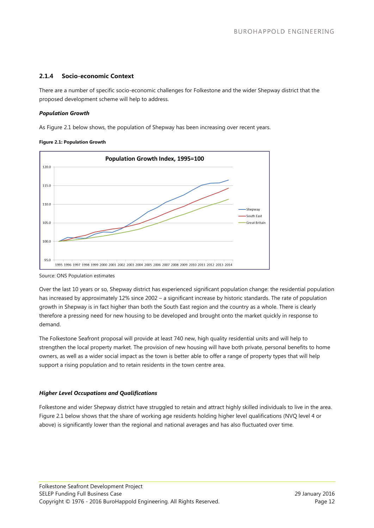#### <span id="page-11-0"></span>**2.1.4 Socio-economic Context**

There are a number of specific socio-economic challenges for Folkestone and the wider Shepway district that the proposed development scheme will help to address.

#### *Population Growth*

As Figure 2.1 below shows, the population of Shepway has been increasing over recent years.

#### **Figure 2.1: Population Growth**



Source: ONS Population estimates

Over the last 10 years or so, Shepway district has experienced significant population change: the residential population has increased by approximately 12% since 2002 – a significant increase by historic standards. The rate of population growth in Shepway is in fact higher than both the South East region and the country as a whole. There is clearly therefore a pressing need for new housing to be developed and brought onto the market quickly in response to demand.

The Folkestone Seafront proposal will provide at least 740 new, high quality residential units and will help to strengthen the local property market. The provision of new housing will have both private, personal benefits to home owners, as well as a wider social impact as the town is better able to offer a range of property types that will help support a rising population and to retain residents in the town centre area.

#### *Higher Level Occupations and Qualifications*

Folkestone and wider Shepway district have struggled to retain and attract highly skilled individuals to live in the area. Figure 2.1 below shows that the share of working age residents holding higher level qualifications (NVQ level 4 or above) is significantly lower than the regional and national averages and has also fluctuated over time.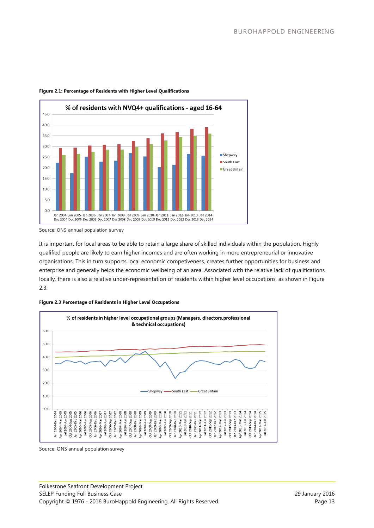

#### **Figure 2.1: Percentage of Residents with Higher Level Qualifications**

Source: ONS annual population survey

It is important for local areas to be able to retain a large share of skilled individuals within the population. Highly qualified people are likely to earn higher incomes and are often working in more entrepreneurial or innovative organisations. This in turn supports local economic competiveness, creates further opportunities for business and enterprise and generally helps the economic wellbeing of an area. Associated with the relative lack of qualifications locally, there is also a relative under-representation of residents within higher level occupations, as shown in Figure 2.3.





Source: ONS annual population survey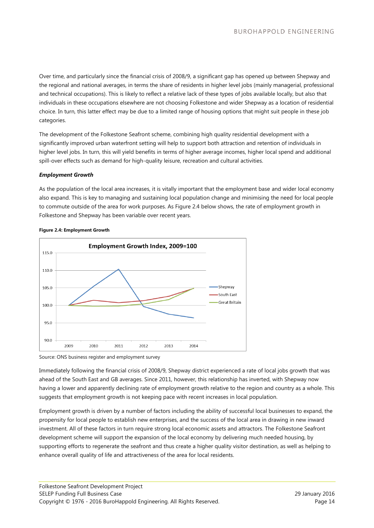Over time, and particularly since the financial crisis of 2008/9, a significant gap has opened up between Shepway and the regional and national averages, in terms the share of residents in higher level jobs (mainly managerial, professional and technical occupations). This is likely to reflect a relative lack of these types of jobs available locally, but also that individuals in these occupations elsewhere are not choosing Folkestone and wider Shepway as a location of residential choice. In turn, this latter effect may be due to a limited range of housing options that might suit people in these job categories.

The development of the Folkestone Seafront scheme, combining high quality residential development with a significantly improved urban waterfront setting will help to support both attraction and retention of individuals in higher level jobs. In turn, this will yield benefits in terms of higher average incomes, higher local spend and additional spill-over effects such as demand for high-quality leisure, recreation and cultural activities.

#### *Employment Growth*

As the population of the local area increases, it is vitally important that the employment base and wider local economy also expand. This is key to managing and sustaining local population change and minimising the need for local people to commute outside of the area for work purposes. As Figure 2.4 below shows, the rate of employment growth in Folkestone and Shepway has been variable over recent years.





Source: ONS business register and employment survey

Immediately following the financial crisis of 2008/9, Shepway district experienced a rate of local jobs growth that was ahead of the South East and GB averages. Since 2011, however, this relationship has inverted, with Shepway now having a lower and apparently declining rate of employment growth relative to the region and country as a whole. This suggests that employment growth is not keeping pace with recent increases in local population.

Employment growth is driven by a number of factors including the ability of successful local businesses to expand, the propensity for local people to establish new enterprises, and the success of the local area in drawing in new inward investment. All of these factors in turn require strong local economic assets and attractors. The Folkestone Seafront development scheme will support the expansion of the local economy by delivering much needed housing, by supporting efforts to regenerate the seafront and thus create a higher quality visitor destination, as well as helping to enhance overall quality of life and attractiveness of the area for local residents.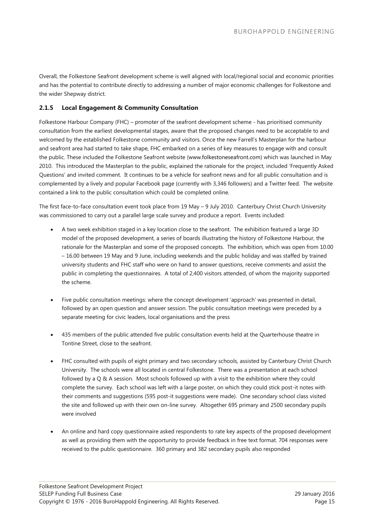Overall, the Folkestone Seafront development scheme is well aligned with local/regional social and economic priorities and has the potential to contribute directly to addressing a number of major economic challenges for Folkestone and the wider Shepway district.

# <span id="page-14-0"></span>**2.1.5 Local Engagement & Community Consultation**

Folkestone Harbour Company (FHC) – promoter of the seafront development scheme - has prioritised community consultation from the earliest developmental stages, aware that the proposed changes need to be acceptable to and welcomed by the established Folkestone community and visitors. Once the new Farrell's Masterplan for the harbour and seafront area had started to take shape, FHC embarked on a series of key measures to engage with and consult the public. These included the Folkestone Seafront website [\(www.folkestoneseafront.com\)](http://www.folkestoneseafront.com/) which was launched in May 2010. This introduced the Masterplan to the public, explained the rationale for the project, included 'Frequently Asked Questions' and invited comment. It continues to be a vehicle for seafront news and for all public consultation and is complemented by a lively and popular Facebook page (currently with 3,346 followers) and a Twitter feed. The website contained a link to the public consultation which could be completed online.

The first face-to-face consultation event took place from 19 May – 9 July 2010. Canterbury Christ Church University was commissioned to carry out a parallel large scale survey and produce a report. Events included:

- A two week exhibition staged in a key location close to the seafront. The exhibition featured a large 3D model of the proposed development, a series of boards illustrating the history of Folkestone Harbour, the rationale for the Masterplan and some of the proposed concepts. The exhibition, which was open from 10.00 – 16.00 between 19 May and 9 June, including weekends and the public holiday and was staffed by trained university students and FHC staff who were on hand to answer questions, receive comments and assist the public in completing the questionnaires. A total of 2,400 visitors attended, of whom the majority supported the scheme.
- Five public consultation meetings: where the concept development 'approach' was presented in detail, followed by an open question and answer session. The public consultation meetings were preceded by a separate meeting for civic leaders, local organisations and the press
- 435 members of the public attended five public consultation events held at the Quarterhouse theatre in Tontine Street, close to the seafront.
- FHC consulted with pupils of eight primary and two secondary schools, assisted by Canterbury Christ Church University. The schools were all located in central Folkestone. There was a presentation at each school followed by a Q & A session. Most schools followed up with a visit to the exhibition where they could complete the survey. Each school was left with a large poster, on which they could stick post-it notes with their comments and suggestions (595 post-it suggestions were made). One secondary school class visited the site and followed up with their own on-line survey. Altogether 695 primary and 2500 secondary pupils were involved
- An online and hard copy questionnaire asked respondents to rate key aspects of the proposed development as well as providing them with the opportunity to provide feedback in free text format. 704 responses were received to the public questionnaire. 360 primary and 382 secondary pupils also responded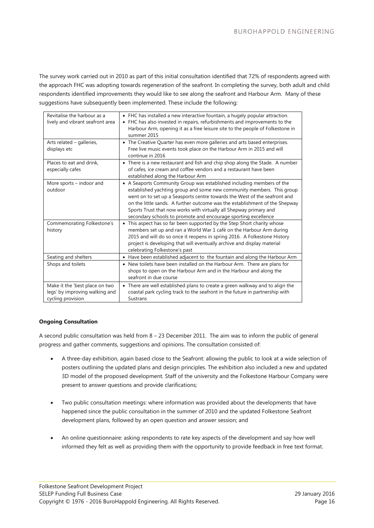The survey work carried out in 2010 as part of this initial consultation identified that 72% of respondents agreed with the approach FHC was adopting towards regeneration of the seafront. In completing the survey, both adult and child respondents identified improvements they would like to see along the seafront and Harbour Arm. Many of these suggestions have subsequently been implemented. These include the following:

| Revitalise the harbour as a<br>lively and vibrant seafront area<br>Arts related – galleries, | • FHC has installed a new interactive fountain, a hugely popular attraction.<br>• FHC has also invested in repairs, refurbishments and improvements to the<br>Harbour Arm, opening it as a free leisure site to the people of Folkestone in<br>summer 2015<br>• The Creative Quarter has even more galleries and arts based enterprises.                                                                                                           |
|----------------------------------------------------------------------------------------------|----------------------------------------------------------------------------------------------------------------------------------------------------------------------------------------------------------------------------------------------------------------------------------------------------------------------------------------------------------------------------------------------------------------------------------------------------|
| displays etc                                                                                 | Free live music events took place on the Harbour Arm in 2015 and will<br>continue in 2016                                                                                                                                                                                                                                                                                                                                                          |
| Places to eat and drink.<br>especially cafes                                                 | • There is a new restaurant and fish and chip shop along the Stade. A number<br>of cafes, ice cream and coffee vendors and a restaurant have been<br>established along the Harbour Arm                                                                                                                                                                                                                                                             |
| More sports - indoor and<br>outdoor                                                          | • A Seaports Community Group was established including members of the<br>established yachting group and some new community members. This group<br>went on to set up a Seasports centre towards the West of the seafront and<br>on the little sands. A further outcome was the establishment of the Shepway<br>Sports Trust that now works with virtually all Shepway primary and<br>secondary schools to promote and encourage sporting excellence |
| Commemorating Folkestone's<br>history                                                        | • This aspect has so far been supported by the Step Short charity whose<br>members set up and ran a World War 1 café on the Harbour Arm during<br>2015 and will do so once it reopens in spring 2016. A Folkestone History<br>project is developing that will eventually archive and display material<br>celebrating Folkestone's past                                                                                                             |
| Seating and shelters                                                                         | • Have been established adjacent to the fountain and along the Harbour Arm                                                                                                                                                                                                                                                                                                                                                                         |
| Shops and toilets                                                                            | • New toilets have been installed on the Harbour Arm. There are plans for<br>shops to open on the Harbour Arm and in the Harbour and along the<br>seafront in due course                                                                                                                                                                                                                                                                           |
| Make it the 'best place on two<br>legs' by improving walking and<br>cycling provision        | • There are well established plans to create a green walkway and to align the<br>coastal park cycling track to the seafront in the future in partnership with<br>Sustrans                                                                                                                                                                                                                                                                          |

#### **Ongoing Consultation**

A second public consultation was held from 8 – 23 December 2011. The aim was to inform the public of general progress and gather comments, suggestions and opinions. The consultation consisted of:

- A three-day exhibition, again based close to the Seafront: allowing the public to look at a wide selection of posters outlining the updated plans and design principles. The exhibition also included a new and updated 3D model of the proposed development. Staff of the university and the Folkestone Harbour Company were present to answer questions and provide clarifications;
- Two public consultation meetings: where information was provided about the developments that have happened since the public consultation in the summer of 2010 and the updated Folkestone Seafront development plans, followed by an open question and answer session; and
- An online questionnaire: asking respondents to rate key aspects of the development and say how well informed they felt as well as providing them with the opportunity to provide feedback in free text format.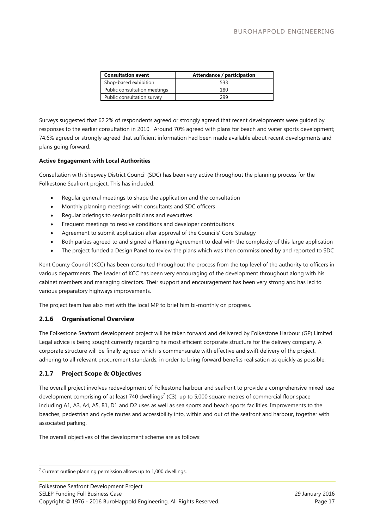| <b>Consultation event</b>    | Attendance / participation |
|------------------------------|----------------------------|
| Shop-based exhibition        | 533                        |
| Public consultation meetings | 180                        |
| Public consultation survey   | 299                        |

Surveys suggested that 62.2% of respondents agreed or strongly agreed that recent developments were guided by responses to the earlier consultation in 2010. Around 70% agreed with plans for beach and water sports development; 74.6% agreed or strongly agreed that sufficient information had been made available about recent developments and plans going forward.

#### **Active Engagement with Local Authorities**

Consultation with Shepway District Council (SDC) has been very active throughout the planning process for the Folkestone Seafront project. This has included:

- Regular general meetings to shape the application and the consultation
- Monthly planning meetings with consultants and SDC officers
- Regular briefings to senior politicians and executives
- Frequent meetings to resolve conditions and developer contributions
- Agreement to submit application after approval of the Councils' Core Strategy
- Both parties agreed to and signed a Planning Agreement to deal with the complexity of this large application
- The project funded a Design Panel to review the plans which was then commissioned by and reported to SDC

Kent County Council (KCC) has been consulted throughout the process from the top level of the authority to officers in various departments. The Leader of KCC has been very encouraging of the development throughout along with his cabinet members and managing directors. Their support and encouragement has been very strong and has led to various preparatory highways improvements.

The project team has also met with the local MP to brief him bi-monthly on progress.

#### <span id="page-16-0"></span>**2.1.6 Organisational Overview**

The Folkestone Seafront development project will be taken forward and delivered by Folkestone Harbour (GP) Limited. Legal advice is being sought currently regarding he most efficient corporate structure for the delivery company. A corporate structure will be finally agreed which is commensurate with effective and swift delivery of the project, adhering to all relevant procurement standards, in order to bring forward benefits realisation as quickly as possible.

# <span id="page-16-1"></span>**2.1.7 Project Scope & Objectives**

 $\overline{a}$ 

The overall project involves redevelopment of Folkestone harbour and seafront to provide a comprehensive mixed-use development comprising of at least 740 dwellings<sup>7</sup> (C3), up to 5,000 square metres of commercial floor space including A1, A3, A4, A5, B1, D1 and D2 uses as well as sea sports and beach sports facilities. Improvements to the beaches, pedestrian and cycle routes and accessibility into, within and out of the seafront and harbour, together with associated parking,

The overall objectives of the development scheme are as follows:

 $7$  Current outline planning permission allows up to 1,000 dwellings.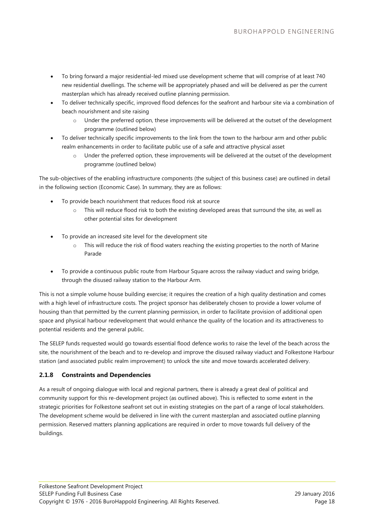- To bring forward a major residential-led mixed use development scheme that will comprise of at least 740 new residential dwellings. The scheme will be appropriately phased and will be delivered as per the current masterplan which has already received outline planning permission.
- To deliver technically specific, improved flood defences for the seafront and harbour site via a combination of beach nourishment and site raising
	- o Under the preferred option, these improvements will be delivered at the outset of the development programme (outlined below)
- To deliver technically specific improvements to the link from the town to the harbour arm and other public realm enhancements in order to facilitate public use of a safe and attractive physical asset
	- o Under the preferred option, these improvements will be delivered at the outset of the development programme (outlined below)

The sub-objectives of the enabling infrastructure components (the subject of this business case) are outlined in detail in the following section (Economic Case). In summary, they are as follows:

- To provide beach nourishment that reduces flood risk at source
	- o This will reduce flood risk to both the existing developed areas that surround the site, as well as other potential sites for development
- To provide an increased site level for the development site
	- o This will reduce the risk of flood waters reaching the existing properties to the north of Marine Parade
- To provide a continuous public route from Harbour Square across the railway viaduct and swing bridge, through the disused railway station to the Harbour Arm.

This is not a simple volume house building exercise; it requires the creation of a high quality destination and comes with a high level of infrastructure costs. The project sponsor has deliberately chosen to provide a lower volume of housing than that permitted by the current planning permission, in order to facilitate provision of additional open space and physical harbour redevelopment that would enhance the quality of the location and its attractiveness to potential residents and the general public.

The SELEP funds requested would go towards essential flood defence works to raise the level of the beach across the site, the nourishment of the beach and to re-develop and improve the disused railway viaduct and Folkestone Harbour station (and associated public realm improvement) to unlock the site and move towards accelerated delivery.

# <span id="page-17-0"></span>**2.1.8 Constraints and Dependencies**

As a result of ongoing dialogue with local and regional partners, there is already a great deal of political and community support for this re-development project (as outlined above). This is reflected to some extent in the strategic priorities for Folkestone seafront set out in existing strategies on the part of a range of local stakeholders. The development scheme would be delivered in line with the current masterplan and associated outline planning permission. Reserved matters planning applications are required in order to move towards full delivery of the buildings.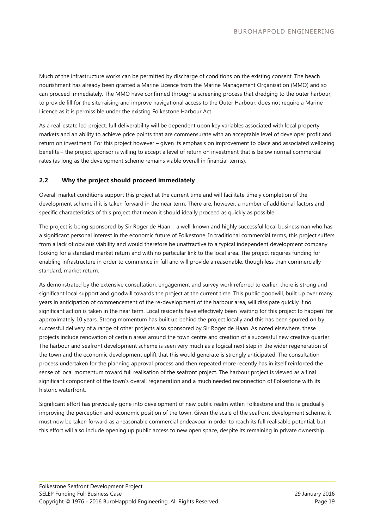Much of the infrastructure works can be permitted by discharge of conditions on the existing consent. The beach nourishment has already been granted a Marine Licence from the Marine Management Organisation (MMO) and so can proceed immediately. The MMO have confirmed through a screening process that dredging to the outer harbour, to provide fill for the site raising and improve navigational access to the Outer Harbour, does not require a Marine Licence as it is permissible under the existing Folkestone Harbour Act.

As a real-estate led project, full deliverability will be dependent upon key variables associated with local property markets and an ability to achieve price points that are commensurate with an acceptable level of developer profit and return on investment. For this project however – given its emphasis on improvement to place and associated wellbeing benefits – the project sponsor is willing to accept a level of return on investment that is below normal commercial rates (as long as the development scheme remains viable overall in financial terms).

# <span id="page-18-0"></span>**2.2 Why the project should proceed immediately**

Overall market conditions support this project at the current time and will facilitate timely completion of the development scheme if it is taken forward in the near term. There are, however, a number of additional factors and specific characteristics of this project that mean it should ideally proceed as quickly as possible.

The project is being sponsored by Sir Roger de Haan – a well-known and highly successful local businessman who has a significant personal interest in the economic future of Folkestone. In traditional commercial terms, this project suffers from a lack of obvious viability and would therefore be unattractive to a typical independent development company looking for a standard market return and with no particular link to the local area. The project requires funding for enabling infrastructure in order to commence in full and will provide a reasonable, though less than commercially standard, market return.

As demonstrated by the extensive consultation, engagement and survey work referred to earlier, there is strong and significant local support and goodwill towards the project at the current time. This public goodwill, built up over many years in anticipation of commencement of the re-development of the harbour area, will dissipate quickly if no significant action is taken in the near term. Local residents have effectively been 'waiting for this project to happen' for approximately 10 years. Strong momentum has built up behind the project locally and this has been spurred on by successful delivery of a range of other projects also sponsored by Sir Roger de Haan. As noted elsewhere, these projects include renovation of certain areas around the town centre and creation of a successful new creative quarter. The harbour and seafront development scheme is seen very much as a logical next step in the wider regeneration of the town and the economic development uplift that this would generate is strongly anticipated. The consultation process undertaken for the planning approval process and then repeated more recently has in itself reinforced the sense of local momentum toward full realisation of the seafront project. The harbour project is viewed as a final significant component of the town's overall regeneration and a much needed reconnection of Folkestone with its historic waterfront.

Significant effort has previously gone into development of new public realm within Folkestone and this is gradually improving the perception and economic position of the town. Given the scale of the seafront development scheme, it must now be taken forward as a reasonable commercial endeavour in order to reach its full realisable potential, but this effort will also include opening up public access to new open space, despite its remaining in private ownership.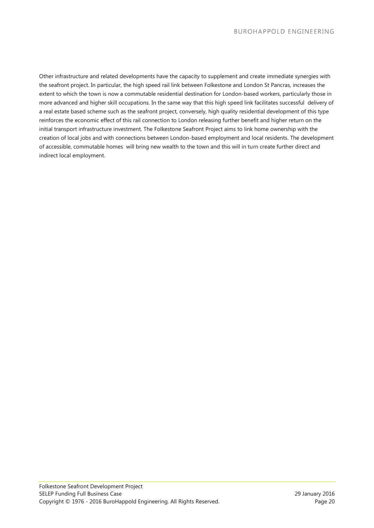Other infrastructure and related developments have the capacity to supplement and create immediate synergies with the seafront project. In particular, the high speed rail link between Folkestone and London St Pancras, increases the extent to which the town is now a commutable residential destination for London-based workers, particularly those in more advanced and higher skill occupations. In the same way that this high speed link facilitates successful delivery of a real estate based scheme such as the seafront project, conversely, high quality residential development of this type reinforces the economic effect of this rail connection to London releasing further benefit and higher return on the initial transport infrastructure investment. The Folkestone Seafront Project aims to link home ownership with the creation of local jobs and with connections between London-based employment and local residents. The development of accessible, commutable homes will bring new wealth to the town and this will in turn create further direct and indirect local employment.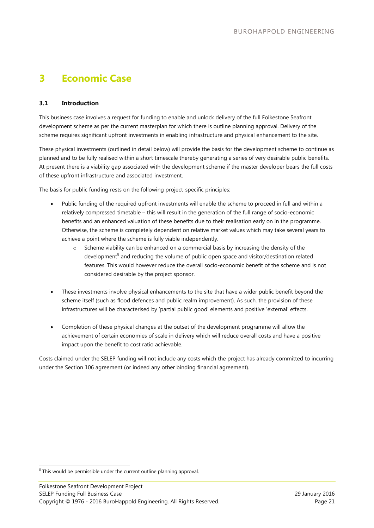# <span id="page-20-0"></span>**3 Economic Case**

# <span id="page-20-1"></span>**3.1 Introduction**

This business case involves a request for funding to enable and unlock delivery of the full Folkestone Seafront development scheme as per the current masterplan for which there is outline planning approval. Delivery of the scheme requires significant upfront investments in enabling infrastructure and physical enhancement to the site.

These physical investments (outlined in detail below) will provide the basis for the development scheme to continue as planned and to be fully realised within a short timescale thereby generating a series of very desirable public benefits. At present there is a viability gap associated with the development scheme if the master developer bears the full costs of these upfront infrastructure and associated investment.

The basis for public funding rests on the following project-specific principles:

- Public funding of the required upfront investments will enable the scheme to proceed in full and within a relatively compressed timetable – this will result in the generation of the full range of socio-economic benefits and an enhanced valuation of these benefits due to their realisation early on in the programme. Otherwise, the scheme is completely dependent on relative market values which may take several years to achieve a point where the scheme is fully viable independently.
	- o Scheme viability can be enhanced on a commercial basis by increasing the density of the development<sup>8</sup> and reducing the volume of public open space and visitor/destination related features. This would however reduce the overall socio-economic benefit of the scheme and is not considered desirable by the project sponsor.
- These investments involve physical enhancements to the site that have a wider public benefit beyond the scheme itself (such as flood defences and public realm improvement). As such, the provision of these infrastructures will be characterised by 'partial public good' elements and positive 'external' effects.
- Completion of these physical changes at the outset of the development programme will allow the achievement of certain economies of scale in delivery which will reduce overall costs and have a positive impact upon the benefit to cost ratio achievable.

Costs claimed under the SELEP funding will not include any costs which the project has already committed to incurring under the Section 106 agreement (or indeed any other binding financial agreement).

 $\overline{a}$ 

 $8$  This would be permissible under the current outline planning approval.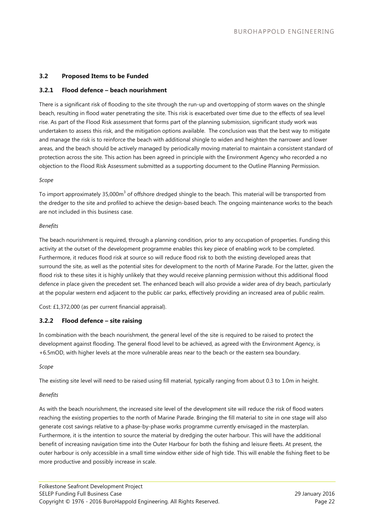# <span id="page-21-0"></span>**3.2 Proposed Items to be Funded**

### <span id="page-21-1"></span>**3.2.1 Flood defence – beach nourishment**

There is a significant risk of flooding to the site through the run-up and overtopping of storm waves on the shingle beach, resulting in flood water penetrating the site. This risk is exacerbated over time due to the effects of sea level rise. As part of the Flood Risk assessment that forms part of the planning submission, significant study work was undertaken to assess this risk, and the mitigation options available. The conclusion was that the best way to mitigate and manage the risk is to reinforce the beach with additional shingle to widen and heighten the narrower and lower areas, and the beach should be actively managed by periodically moving material to maintain a consistent standard of protection across the site. This action has been agreed in principle with the Environment Agency who recorded a no objection to the Flood Risk Assessment submitted as a supporting document to the Outline Planning Permission.

#### *Scope*

To import approximately 35,000 $m^3$  of offshore dredged shingle to the beach. This material will be transported from the dredger to the site and profiled to achieve the design-based beach. The ongoing maintenance works to the beach are not included in this business case.

#### *Benefits*

The beach nourishment is required, through a planning condition, prior to any occupation of properties. Funding this activity at the outset of the development programme enables this key piece of enabling work to be completed. Furthermore, it reduces flood risk at source so will reduce flood risk to both the existing developed areas that surround the site, as well as the potential sites for development to the north of Marine Parade. For the latter, given the flood risk to these sites it is highly unlikely that they would receive planning permission without this additional flood defence in place given the precedent set. The enhanced beach will also provide a wider area of dry beach, particularly at the popular western end adjacent to the public car parks, effectively providing an increased area of public realm.

Cost: £1,372,000 (as per current financial appraisal).

# <span id="page-21-2"></span>**3.2.2 Flood defence – site raising**

In combination with the beach nourishment, the general level of the site is required to be raised to protect the development against flooding. The general flood level to be achieved, as agreed with the Environment Agency, is +6.5mOD, with higher levels at the more vulnerable areas near to the beach or the eastern sea boundary.

#### *Scope*

The existing site level will need to be raised using fill material, typically ranging from about 0.3 to 1.0m in height.

#### *Benefits*

As with the beach nourishment, the increased site level of the development site will reduce the risk of flood waters reaching the existing properties to the north of Marine Parade. Bringing the fill material to site in one stage will also generate cost savings relative to a phase-by-phase works programme currently envisaged in the masterplan. Furthermore, it is the intention to source the material by dredging the outer harbour. This will have the additional benefit of increasing navigation time into the Outer Harbour for both the fishing and leisure fleets. At present, the outer harbour is only accessible in a small time window either side of high tide. This will enable the fishing fleet to be more productive and possibly increase in scale.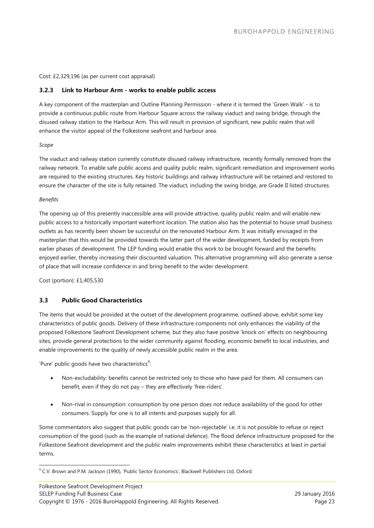Cost: £2,329,196 (as per current cost appraisal)

### <span id="page-22-0"></span>**3.2.3 Link to Harbour Arm - works to enable public access**

A key component of the masterplan and Outline Planning Permission - where it is termed the 'Green Walk' - is to provide a continuous public route from Harbour Square across the railway viaduct and swing bridge, through the disused railway station to the Harbour Arm. This will result in provision of significant, new public realm that will enhance the visitor appeal of the Folkestone seafront and harbour area.

#### *Scope*

The viaduct and railway station currently constitute disused railway infrastructure, recently formally removed from the railway network. To enable safe public access and quality public realm, significant remediation and improvement works are required to the existing structures. Key historic buildings and railway infrastructure will be retained and restored to ensure the character of the site is fully retained. The viaduct, including the swing bridge, are Grade II listed structures.

#### *Benefits*

 $\overline{a}$ 

The opening up of this presently inaccessible area will provide attractive, quality public realm and will enable new public access to a historically important waterfront location. The station also has the potential to house small business outlets as has recently been shown be successful on the renovated Harbour Arm. It was initially envisaged in the masterplan that this would be provided towards the latter part of the wider development, funded by receipts from earlier phases of development. The LEP funding would enable this work to be brought forward and the benefits enjoyed earlier, thereby increasing their discounted valuation. This alternative programming will also generate a sense of place that will increase confidence in and bring benefit to the wider development.

Cost (portion): £1,405,530

# <span id="page-22-1"></span>**3.3 Public Good Characteristics**

The items that would be provided at the outset of the development programme, outlined above, exhibit some key characteristics of public goods. Delivery of these infrastructure components not only enhances the viability of the proposed Folkestone Seafront Development scheme, but they also have positive 'knock on' effects on neighbouring sites, provide general protections to the wider community against flooding, economic benefit to local industries, and enable improvements to the quality of newly accessible public realm in the area.

'Pure' public goods have two characteristics $9$ :

- Non-excludability: benefits cannot be restricted only to those who have paid for them. All consumers can benefit, even if they do not pay – they are effectively 'free-riders'.
- Non-rival in consumption: consumption by one person does not reduce availability of the good for other consumers. Supply for one is to all intents and purposes supply for all.

Some commentators also suggest that public goods can be 'non-rejectable' i.e. it is not possible to refuse or reject consumption of the good (such as the example of national defence). The flood defence infrastructure proposed for the Folkestone Seafront development and the public realm improvements exhibit these characteristics at least in partial terms.

<sup>&</sup>lt;sup>9</sup> C.V. Brown and P.M. Jackson (1990), 'Public Sector Economics', Blackwell Publishers Ltd, Oxford.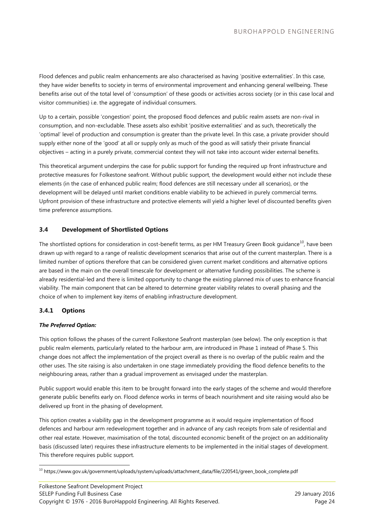Flood defences and public realm enhancements are also characterised as having 'positive externalities'. In this case, they have wider benefits to society in terms of environmental improvement and enhancing general wellbeing. These benefits arise out of the total level of 'consumption' of these goods or activities across society (or in this case local and visitor communities) i.e. the aggregate of individual consumers.

Up to a certain, possible 'congestion' point, the proposed flood defences and public realm assets are non-rival in consumption, and non-excludable. These assets also exhibit 'positive externalities' and as such, theoretically the 'optimal' level of production and consumption is greater than the private level. In this case, a private provider should supply either none of the 'good' at all or supply only as much of the good as will satisfy their private financial objectives – acting in a purely private, commercial context they will not take into account wider external benefits.

This theoretical argument underpins the case for public support for funding the required up front infrastructure and protective measures for Folkestone seafront. Without public support, the development would either not include these elements (in the case of enhanced public realm; flood defences are still necessary under all scenarios), or the development will be delayed until market conditions enable viability to be achieved in purely commercial terms. Upfront provision of these infrastructure and protective elements will yield a higher level of discounted benefits given time preference assumptions.

# <span id="page-23-0"></span>**3.4 Development of Shortlisted Options**

The shortlisted options for consideration in cost-benefit terms, as per HM Treasury Green Book quidance $10$ , have been drawn up with regard to a range of realistic development scenarios that arise out of the current masterplan. There is a limited number of options therefore that can be considered given current market conditions and alternative options are based in the main on the overall timescale for development or alternative funding possibilities. The scheme is already residential-led and there is limited opportunity to change the existing planned mix of uses to enhance financial viability. The main component that can be altered to determine greater viability relates to overall phasing and the choice of when to implement key items of enabling infrastructure development.

# <span id="page-23-1"></span>**3.4.1 Options**

 $\overline{a}$ 

# *The Preferred Option:*

This option follows the phases of the current Folkestone Seafront masterplan (see below). The only exception is that public realm elements, particularly related to the harbour arm, are introduced in Phase 1 instead of Phase 5. This change does not affect the implementation of the project overall as there is no overlap of the public realm and the other uses. The site raising is also undertaken in one stage immediately providing the flood defence benefits to the neighbouring areas, rather than a gradual improvement as envisaged under the masterplan.

Public support would enable this item to be brought forward into the early stages of the scheme and would therefore generate public benefits early on. Flood defence works in terms of beach nourishment and site raising would also be delivered up front in the phasing of development.

This option creates a viability gap in the development programme as it would require implementation of flood defences and harbour arm redevelopment together and in advance of any cash receipts from sale of residential and other real estate. However, maximisation of the total, discounted economic benefit of the project on an additionality basis (discussed later) requires these infrastructure elements to be implemented in the initial stages of development. This therefore requires public support.

 $^{10}$  [https://www.gov.uk/government/uploads/system/uploads/attachment\\_data/file/220541/green\\_book\\_complete.pdf](https://www.gov.uk/government/uploads/system/uploads/attachment_data/file/220541/green_book_complete.pdf)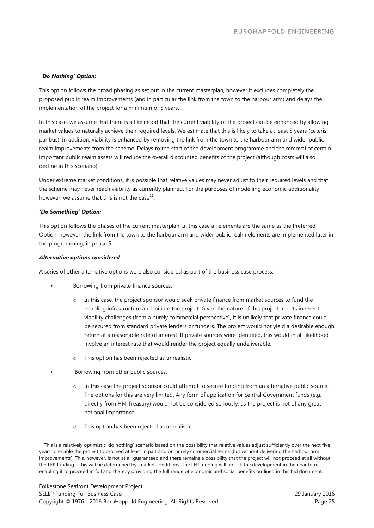#### *'Do Nothing' Option:*

This option follows the broad phasing as set out in the current masterplan, however it excludes completely the proposed public realm improvements (and in particular the link from the town to the harbour arm) and delays the implementation of the project for a minimum of 5 years.

In this case, we assume that there is a likelihood that the current viability of the project can be enhanced by allowing market values to naturally achieve their required levels. We estimate that this is likely to take at least 5 years (ceteris paribus). In addition, viability is enhanced by removing the link from the town to the harbour arm and wider public realm improvements from the scheme. Delays to the start of the development programme and the removal of certain important public realm assets will reduce the overall discounted benefits of the project (although costs will also decline in this scenario).

Under extreme market conditions, it is possible that relative values may never adjust to their required levels and that the scheme may never reach viability as currently planned. For the purposes of modelling economic additionality however, we assume that this is not the case $^{11}$ .

#### *'Do Something' Option:*

 $\overline{a}$ 

This option follows the phases of the current masterplan. In this case all elements are the same as the Preferred Option, however, the link from the town to the harbour arm and wider public realm elements are implemented later in the programming, in phase 5.

#### *Alternative options considered*

A series of other alternative options were also considered as part of the business case process:

- Borrowing from private finance sources:
	- o In this case, the project sponsor would seek private finance from market sources to fund the enabling infrastructure and initiate the project. Given the nature of this project and its inherent viability challenges (from a purely commercial perspective), it is unlikely that private finance could be secured from standard private lenders or funders. The project would not yield a desirable enough return at a reasonable rate of interest. If private sources were identified, this would in all likelihood involve an interest rate that would render the project equally undeliverable.
	- o This option has been rejected as unrealistic
	- Borrowing from other public sources.
		- In this case the project sponsor could attempt to secure funding from an alternative public source. The options for this are very limited. Any form of application for central Government funds (e.g. directly from HM Treasury) would not be considered seriously, as the project is not of any great national importance.
	- o This option has been rejected as unrealistic

 $11$  This is a relatively optimistic 'do nothing' scenario based on the possibility that relative values adjust sufficiently over the next five years to enable the project to proceed at least in part and on purely commercial terms (but without delivering the harbour arm improvements). This, however, is not at all guaranteed and there remains a possibility that the project will not proceed at all without the LEP funding – this will be determined by market conditions. The LEP funding will unlock the development in the near term, enabling it to proceed in full and thereby providing the full range of economic and social benefits outlined in this bid document.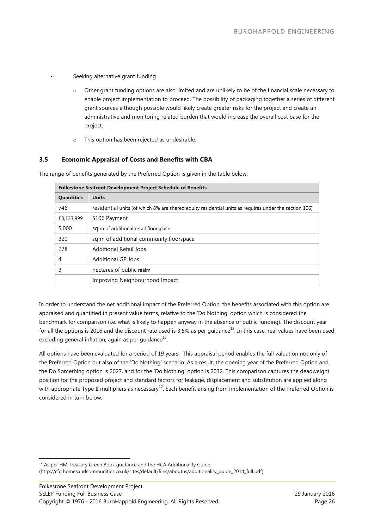- Seeking alternative grant funding
	- o Other grant funding options are also limited and are unlikely to be of the financial scale necessary to enable project implementation to proceed. The possibility of packaging together a series of different grant sources although possible would likely create greater risks for the project and create an administrative and monitoring related burden that would increase the overall cost base for the project.
	- o This option has been rejected as undesirable.

### <span id="page-25-0"></span>**3.5 Economic Appraisal of Costs and Benefits with CBA**

| <b>Folkestone Seafront Development Project Schedule of Benefits</b> |                                                                                                       |  |
|---------------------------------------------------------------------|-------------------------------------------------------------------------------------------------------|--|
| <b>Quantities</b><br><b>Units</b>                                   |                                                                                                       |  |
| 746                                                                 | residential units (of which 8% are shared equity residential units as requires under the section 106) |  |
| £3,133,999                                                          | S106 Payment                                                                                          |  |
| 5,000                                                               | sq m of additional retail floorspace                                                                  |  |
| 320                                                                 | sq m of additional community floorspace                                                               |  |
| 278                                                                 | Additional Retail Jobs                                                                                |  |
| 4                                                                   | Additional GP Jobs                                                                                    |  |
| 3                                                                   | hectares of public realm                                                                              |  |
|                                                                     | Improving Neighbourhood Impact                                                                        |  |

The range of benefits generated by the Preferred Option is given in the table below:

In order to understand the net additional impact of the Preferred Option, the benefits associated with this option are appraised and quantified in present value terms, relative to the 'Do Nothing' option which is considered the benchmark for comparison (i.e. what is likely to happen anyway in the absence of public funding). The discount year for all the options is 2016 and the discount rate used is 3.5% as per guidance<sup>[12](#page-25-1)</sup>. In this case, real values have been used excluding general inflation, again as per guidance $^{12}$  $^{12}$  $^{12}$ .

<span id="page-25-1"></span>All options have been evaluated for a period of 19 years. This appraisal period enables the full valuation not only of the Preferred Option but also of the 'Do Nothing' scenario. As a result, the opening year of the Preferred Option and the Do Something option is 2027, and for the 'Do Nothing' option is 2032. This comparison captures the deadweight position for the proposed project and standard factors for leakage, displacement and substitution are applied along with appropriate Type II multipliers as necessary<sup>12</sup>. Each benefit arising from implementation of the Preferred Option is considered in turn below.

 $\overline{a}$ 

<sup>&</sup>lt;sup>12</sup> As per HM Treasury Green Book guidance and the HCA Additionality Guide

<sup>(</sup>http://cfg.homesandcommunities.co.uk/sites/default/files/aboutus/additionality\_guide\_2014\_full.pdf)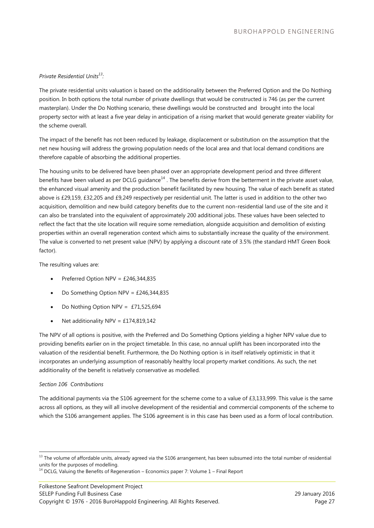### *Private Residential Units 13:*

The private residential units valuation is based on the additionality between the Preferred Option and the Do Nothing position. In both options the total number of private dwellings that would be constructed is 746 (as per the current masterplan). Under the Do Nothing scenario, these dwellings would be constructed and brought into the local property sector with at least a five year delay in anticipation of a rising market that would generate greater viability for the scheme overall.

The impact of the benefit has not been reduced by leakage, displacement or substitution on the assumption that the net new housing will address the growing population needs of the local area and that local demand conditions are therefore capable of absorbing the additional properties.

<span id="page-26-0"></span>The housing units to be delivered have been phased over an appropriate development period and three different benefits have been valued as per DCLG guidance $^{14}$ . The benefits derive from the betterment in the private asset value, the enhanced visual amenity and the production benefit facilitated by new housing. The value of each benefit as stated above is £29,159, £32,205 and £9,249 respectively per residential unit. The latter is used in addition to the other two acquisition, demolition and new build category benefits due to the current non-residential land use of the site and it can also be translated into the equivalent of approximately 200 additional jobs. These values have been selected to reflect the fact that the site location will require some remediation, alongside acquisition and demolition of existing properties within an overall regeneration context which aims to substantially increase the quality of the environment. The value is converted to net present value (NPV) by applying a discount rate of 3.5% (the standard HMT Green Book factor).

The resulting values are:

- Preferred Option NPV = £246,344,835
- Do Something Option NPV = £246,344,835
- $\bullet$  Do Nothing Option NPV = £71,525,694
- Net additionality NPV =  $£174,819,142$

The NPV of all options is positive, with the Preferred and Do Something Options yielding a higher NPV value due to providing benefits earlier on in the project timetable. In this case, no annual uplift has been incorporated into the valuation of the residential benefit. Furthermore, the Do Nothing option is in itself relatively optimistic in that it incorporates an underlying assumption of reasonably healthy local property market conditions. As such, the net additionality of the benefit is relatively conservative as modelled.

#### *Section 106 Contributions*

 $\overline{a}$ 

The additional payments via the S106 agreement for the scheme come to a value of £3,133,999. This value is the same across all options, as they will all involve development of the residential and commercial components of the scheme to which the S106 arrangement applies. The S106 agreement is in this case has been used as a form of local contribution.

 $^{13}$  The volume of affordable units, already agreed via the S106 arrangement, has been subsumed into the total number of residential units for the purposes of modelling.

<sup>&</sup>lt;sup>14</sup> DCLG, Valuing the Benefits of Regeneration – Economics paper 7: Volume 1 – Final Report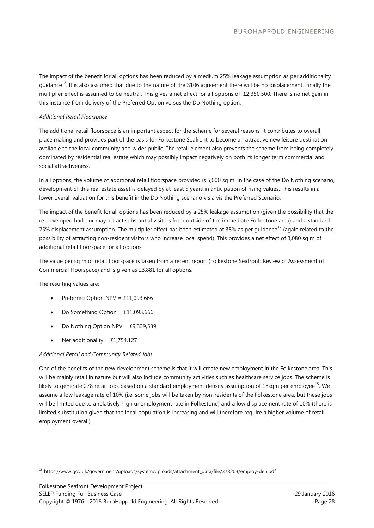The impact of the benefit for all options has been reduced by a medium 25% leakage assumption as per additionality guidance<sup>[12](#page-25-1)</sup>. It is also assumed that due to the nature of the S106 agreement there will be no displacement. Finally the multiplier effect is assumed to be neutral. This gives a net effect for all options of £2,350,500. There is no net gain in this instance from delivery of the Preferred Option versus the Do Nothing option.

#### *Additional Retail Floorspace*

The additional retail floorspace is an important aspect for the scheme for several reasons: it contributes to overall place making and provides part of the basis for Folkestone Seafront to become an attractive new leisure destination available to the local community and wider public. The retail element also prevents the scheme from being completely dominated by residential real estate which may possibly impact negatively on both its longer term commercial and social attractiveness.

In all options, the volume of additional retail floorspace provided is 5,000 sq m. In the case of the Do Nothing scenario, development of this real estate asset is delayed by at least 5 years in anticipation of rising values. This results in a lower overall valuation for this benefit in the Do Nothing scenario vis a vis the Preferred Scenario.

The impact of the benefit for all options has been reduced by a 25% leakage assumption (given the possibility that the re-developed harbour may attract substantial visitors from outside of the immediate Folkestone area) and a standard 25% displacement assumption. The multiplier effect has been estimated at 38% as per guidance<sup>[12](#page-25-1)</sup> (again related to the possibility of attracting non-resident visitors who increase local spend). This provides a net effect of 3,080 sq m of additional retail floorspace for all options.

The value per sq m of retail floorspace is taken from a recent report (Folkestone Seafront: Review of Assessment of Commercial Floorspace) and is given as £3,881 for all options.

The resulting values are:

 $\overline{a}$ 

- Preferred Option NPV = £11,093,666
- Do Something Option = £11,093,666
- Do Nothing Option NPV = £9,339,539
- Net additionality =  $£1,754,127$

#### *Additional Retail and Community Related Jobs*

One of the benefits of the new development scheme is that it will create new employment in the Folkestone area. This will be mainly retail in nature but will also include community activities such as healthcare service jobs. The scheme is likely to generate 278 retail jobs based on a standard employment density assumption of 18sqm per employee<sup>15</sup>. We assume a low leakage rate of 10% (i.e. some jobs will be taken by non-residents of the Folkestone area, but these jobs will be limited due to a relatively high unemployment rate in Folkestone) and a low displacement rate of 10% (there is limited substitution given that the local population is increasing and will therefore require a higher volume of retail employment overall).

<sup>&</sup>lt;sup>15</sup> https://www.gov.uk/government/uploads/system/uploads/attachment\_data/file/378203/employ-den.pdf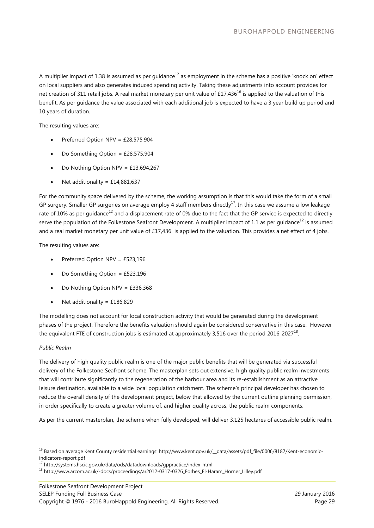A multiplier impact of 1.38 is assumed as per guidance<sup>[12](#page-25-1)</sup> as employment in the scheme has a positive 'knock on' effect on local suppliers and also generates induced spending activity. Taking these adjustments into account provides for net creation of 311 retail jobs. A real market monetary per unit value of  $£17,436^{16}$  is applied to the valuation of this benefit. As per guidance the value associated with each additional job is expected to have a 3 year build up period and 10 years of duration.

The resulting values are:

- <span id="page-28-0"></span>Preferred Option NPV = £28,575,904
- Do Something Option = £28,575,904
- Do Nothing Option NPV = £13,694,267
- Net additionality =  $£14,881,637$

For the community space delivered by the scheme, the working assumption is that this would take the form of a small GP surgery. Smaller GP surgeries on average employ 4 staff members directly<sup>17</sup>. In this case we assume a low leakage rate of 10% as per guidance<sup>[12](#page-25-1)</sup> and a displacement rate of 0% due to the fact that the GP service is expected to directly serve the population of the Folkestone Seafront Development. A multiplier impact of 1.1 as per guidance<sup>[12](#page-25-1)</sup> is assumed and a real market monetary per unit value of £17,436 is applied to the valuation. This provides a net effect of 4 jobs.

The resulting values are:

- Preferred Option NPV = £523,196
- Do Something Option = £523,196
- Do Nothing Option NPV = £336,368
- Net additionality = £186,829

The modelling does not account for local construction activity that would be generated during the development phases of the project. Therefore the benefits valuation should again be considered conservative in this case. However the equivalent FTE of construction jobs is estimated at approximately 3,516 over the period 2016-2027 $^{\rm 18}$ .

#### *Public Realm*

 $\overline{a}$ 

The delivery of high quality public realm is one of the major public benefits that will be generated via successful delivery of the Folkestone Seafront scheme. The masterplan sets out extensive, high quality public realm investments that will contribute significantly to the regeneration of the harbour area and its re-establishment as an attractive leisure destination, available to a wide local population catchment. The scheme's principal developer has chosen to reduce the overall density of the development project, below that allowed by the current outline planning permission, in order specifically to create a greater volume of, and higher quality across, the public realm components.

As per the current masterplan, the scheme when fully developed, will deliver 3.125 hectares of accessible public realm.

<sup>&</sup>lt;sup>16</sup> Based on average Kent County residential earnings: http://www.kent.gov.uk/\_data/assets/pdf\_file/0006/8187/Kent-economicindicators-report.pdf

<sup>17</sup> http://systems.hscic.gov.uk/data/ods/datadownloads/gppractice/index\_html

<sup>18</sup> http://www.arcom.ac.uk/-docs/proceedings/ar2012-0317-0326\_Forbes\_El-Haram\_Horner\_Lilley.pdf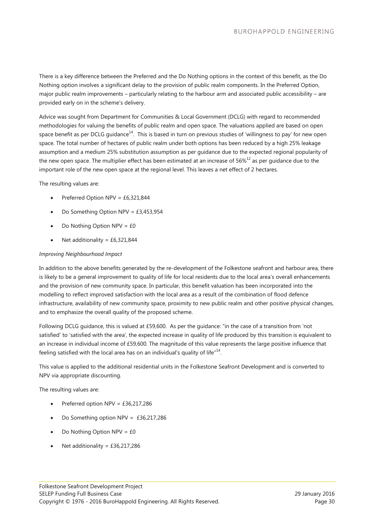There is a key difference between the Preferred and the Do Nothing options in the context of this benefit, as the Do Nothing option involves a significant delay to the provision of public realm components. In the Preferred Option, major public realm improvements – particularly relating to the harbour arm and associated public accessibility – are provided early on in the scheme's delivery.

Advice was sought from Department for Communities & Local Government (DCLG) with regard to recommended methodologies for valuing the benefits of public realm and open space. The valuations applied are based on open space benefit as per DCLG guidance<sup>[14](#page-26-0)</sup>. This is based in turn on previous studies of 'willingness to pay' for new open space. The total number of hectares of public realm under both options has been reduced by a high 25% leakage assumption and a medium 25% substitution assumption as per guidance due to the expected regional popularity of the new open space. The multiplier effect has been estimated at an increase of 56% $^{12}$  $^{12}$  $^{12}$  as per guidance due to the important role of the new open space at the regional level. This leaves a net effect of 2 hectares.

The resulting values are:

- Preferred Option NPV = £6,321,844
- Do Something Option NPV = £3,453,954
- Do Nothing Option NPV = £0
- Net additionality = £6,321,844

#### *Improving Neighbourhood Impact*

In addition to the above benefits generated by the re-development of the Folkestone seafront and harbour area, there is likely to be a general improvement to quality of life for local residents due to the local area's overall enhancements and the provision of new community space. In particular, this benefit valuation has been incorporated into the modelling to reflect improved satisfaction with the local area as a result of the combination of flood defence infrastructure, availability of new community space, proximity to new public realm and other positive physical changes, and to emphasize the overall quality of the proposed scheme.

Following DCLG guidance, this is valued at £59,600. As per the guidance: "in the case of a transition from 'not satisfied' to 'satisfied with the area', the expected increase in quality of life produced by this transition is equivalent to an increase in individual income of £59,600. The magnitude of this value represents the large positive influence that feeling satisfied with the local area has on an individual's quality of life" $^{14}$  $^{14}$  $^{14}$ .

This value is applied to the additional residential units in the Folkestone Seafront Development and is converted to NPV via appropriate discounting.

The resulting values are:

- Preferred option NPV = £36,217,286
- Do Something option NPV = £36,217,286
- Do Nothing Option NPV = £0
- Net additionality = £36,217,286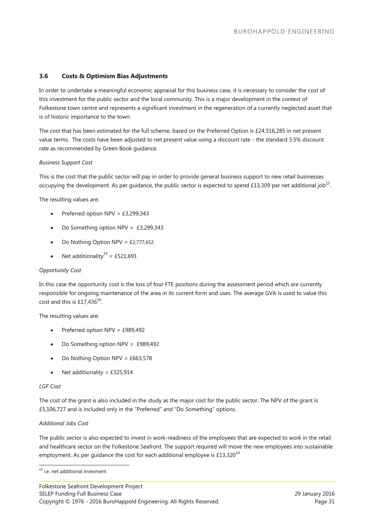# <span id="page-30-0"></span>**3.6 Costs & Optimism Bias Adjustments**

In order to undertake a meaningful economic appraisal for this business case, it is necessary to consider the cost of this investment for the public sector and the local community. This is a major development in the context of Folkestone town centre and represents a significant investment in the regeneration of a currently neglected asset that is of historic importance to the town.

The cost that has been estimated for the full scheme, based on the Preferred Option is £24,316,285 in net present value terms. The costs have been adjusted to net present value using a discount rate - the standard 3.5% discount rate as recommended by Green Book guidance.

### *Business Support Cost*

This is the cost that the public sector will pay in order to provide general business support to new retail businesses occupying the development. As per guidance, the public sector is expected to spend £13,309 per net additional job<sup>13</sup>.

The resulting values are:

- Preferred option NPV = £3,299,343
- Do Something option NPV = £3,299,343
- Do Nothing Option NPV = £2,777,652
- Net additionality<sup>19</sup> = £521,691

#### *Opportunity Cost*

In this case the opportunity cost is the loss of four FTE positions during the assessment period which are currently responsible for ongoing maintenance of the area in its current form and uses. The average GVA is used to value this cost and this is £17,436 $^{16}$  $^{16}$  $^{16}$ .

The resulting values are:

- Preferred option NPV = £989,492
- Do Something option NPV = £989,492
- Do Nothing Option NPV = £663,578
- Net additionality = £325,914

#### *LGF Cost*

The cost of the grant is also included in the study as the major cost for the public sector. The NPV of the grant is £5,106,727 and is included only in the "Preferred" and "Do Something" options.

#### *Additional Jobs Cost*

The public sector is also expected to invest in work-readiness of the employees that are expected to work in the retail and healthcare sector on the Folkestone Seafront. The support required will move the new employees into sustainable employment. As per quidance the cost for each additional employee is  $£13,320^{14}$  $£13,320^{14}$  $£13,320^{14}$ 

 $\overline{a}$ <sup>19</sup> i.e. net additional invesment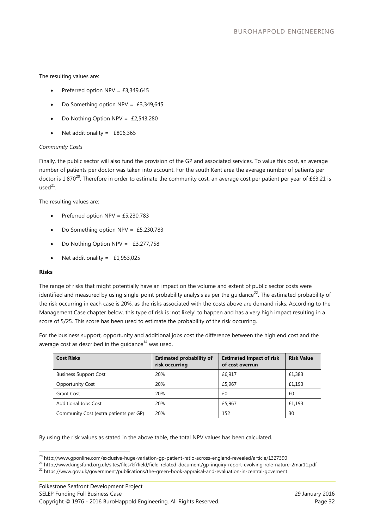The resulting values are:

- Preferred option NPV = £3,349,645
- Do Something option NPV = £3,349,645
- Do Nothing Option NPV = £2,543,280
- Net additionality = £806,365

### *Community Costs*

Finally, the public sector will also fund the provision of the GP and associated services. To value this cost, an average number of patients per doctor was taken into account. For the south Kent area the average number of patients per doctor is  $1,870^{20}$ . Therefore in order to estimate the community cost, an average cost per patient per year of £63.21 is  $used<sup>21</sup>$ .

The resulting values are:

- Preferred option NPV = £5,230,783
- Do Something option NPV = £5,230,783
- Do Nothing Option NPV = £3,277,758
- Net additionality =  $£1,953,025$

#### **Risks**

 $\overline{a}$ 

The range of risks that might potentially have an impact on the volume and extent of public sector costs were identified and measured by using single-point probability analysis as per the guidance<sup>22</sup>. The estimated probability of the risk occurring in each case is 20%, as the risks associated with the costs above are demand risks. According to the Management Case chapter below, this type of risk is 'not likely' to happen and has a very high impact resulting in a score of 5/25. This score has been used to estimate the probability of the risk occurring.

For the business support, opportunity and additional jobs cost the difference between the high end cost and the average cost as described in the quidance $14$  was used.

| <b>Cost Risks</b>                      | <b>Estimated probability of</b><br>risk occurring | <b>Estimated Impact of risk</b><br>of cost overrun | <b>Risk Value</b> |
|----------------------------------------|---------------------------------------------------|----------------------------------------------------|-------------------|
| <b>Business Support Cost</b>           | 20%                                               | £6.917                                             | £1,383            |
| <b>Opportunity Cost</b>                | 20%                                               | £5,967                                             | £1.193            |
| <b>Grant Cost</b>                      | 20%                                               | £0                                                 | £0                |
| <b>Additional Jobs Cost</b>            | 20%                                               | £5,967                                             | £1.193            |
| Community Cost (extra patients per GP) | 20%                                               | 152                                                | 30                |

By using the risk values as stated in the above table, the total NPV values has been calculated.

 $^{20}$  http://www.gponline.com/exclusive-huge-variation-gp-patient-ratio-across-england-revealed/article/1327390

<sup>21</sup> http://www.kingsfund.org.uk/sites/files/kf/field/field\_related\_document/gp-inquiry-report-evolving-role-nature-2mar11.pdf

<sup>22</sup> https://www.gov.uk/government/publications/the-green-book-appraisal-and-evaluation-in-central-governent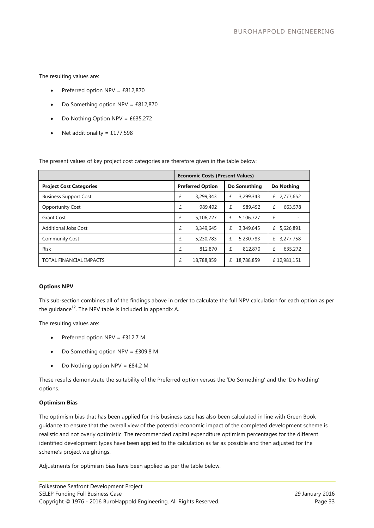The resulting values are:

- Preferred option NPV = £812,870
- Do Something option NPV = £812,870
- Do Nothing Option NPV = £635,272
- Net additionality =  $£177,598$

The present values of key project cost categories are therefore given in the table below:

| <b>Economic Costs (Present Values)</b> |                         |                 |                   |
|----------------------------------------|-------------------------|-----------------|-------------------|
| <b>Project Cost Categories</b>         | <b>Preferred Option</b> | Do Something    | <b>Do Nothing</b> |
| <b>Business Support Cost</b>           | 3,299,343               | 3,299,343       | 2,777,652         |
|                                        | £                       | £               | £                 |
| <b>Opportunity Cost</b>                | 989,492                 | £               | 663,578           |
|                                        | £                       | 989,492         | £                 |
| <b>Grant Cost</b>                      | £<br>5,106,727          | £<br>5,106,727  | £                 |
| Additional Jobs Cost                   | £                       | 3,349,645       | 5,626,891         |
|                                        | 3,349,645               | £               | £                 |
| <b>Community Cost</b>                  | £                       | 5,230,783       | 3,277,758         |
|                                        | 5,230,783               | £               | £                 |
| Risk                                   | f                       | £               | 635,272           |
|                                        | 812,870                 | 812,870         | £                 |
| TOTAL FINANCIAL IMPACTS                | 18,788,859<br>£         | 18,788,859<br>£ | £12,981,151       |

#### **Options NPV**

This sub-section combines all of the findings above in order to calculate the full NPV calculation for each option as per the guidance<sup>[12](#page-25-1)</sup>. The NPV table is included in appendix A.

The resulting values are:

- Preferred option NPV = £312.7 M
- Do Something option NPV = £309.8 M
- Do Nothing option NPV = £84.2 M

These results demonstrate the suitability of the Preferred option versus the 'Do Something' and the 'Do Nothing' options.

#### **Optimism Bias**

The optimism bias that has been applied for this business case has also been calculated in line with Green Book guidance to ensure that the overall view of the potential economic impact of the completed development scheme is realistic and not overly optimistic. The recommended capital expenditure optimism percentages for the different identified development types have been applied to the calculation as far as possible and then adjusted for the scheme's project weightings.

Adjustments for optimism bias have been applied as per the table below: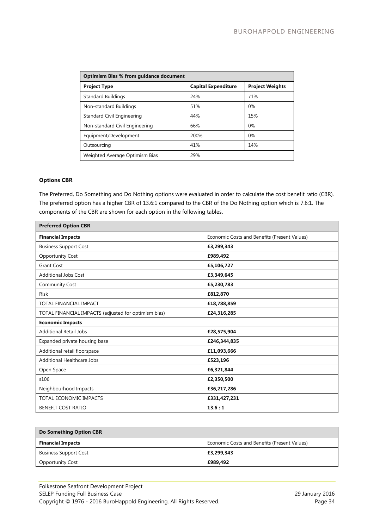| <b>Optimism Bias % from guidance document</b> |                            |                        |
|-----------------------------------------------|----------------------------|------------------------|
| <b>Project Type</b>                           | <b>Capital Expenditure</b> | <b>Project Weights</b> |
| <b>Standard Buildings</b>                     | 24%                        | 71%                    |
| Non-standard Buildings                        | 51%                        | 0%                     |
| Standard Civil Engineering                    | 44%                        | 15%                    |
| Non-standard Civil Engineering                | 66%                        | 0%                     |
| Equipment/Development                         | 200%                       | 0%                     |
| Outsourcing                                   | 41%                        | 14%                    |
| Weighted Average Optimism Bias                | 29%                        |                        |

#### **Options CBR**

The Preferred, Do Something and Do Nothing options were evaluated in order to calculate the cost benefit ratio (CBR). The preferred option has a higher CBR of 13.6:1 compared to the CBR of the Do Nothing option which is 7.6:1. The components of the CBR are shown for each option in the following tables.

| <b>Preferred Option CBR</b>                          |                                              |  |
|------------------------------------------------------|----------------------------------------------|--|
| <b>Financial Impacts</b>                             | Economic Costs and Benefits (Present Values) |  |
| <b>Business Support Cost</b>                         | £3,299,343                                   |  |
| Opportunity Cost                                     | £989,492                                     |  |
| <b>Grant Cost</b>                                    | £5,106,727                                   |  |
| <b>Additional Jobs Cost</b>                          | £3,349,645                                   |  |
| Community Cost                                       | £5,230,783                                   |  |
| <b>Risk</b>                                          | £812,870                                     |  |
| TOTAL FINANCIAL IMPACT                               | £18,788,859                                  |  |
| TOTAL FINANCIAL IMPACTS (adjusted for optimism bias) | £24,316,285                                  |  |
| <b>Economic Impacts</b>                              |                                              |  |
| <b>Additional Retail Jobs</b>                        | £28,575,904                                  |  |
| Expanded private housing base                        | £246,344,835                                 |  |
| Additional retail floorspace                         | £11,093,666                                  |  |
| <b>Additional Healthcare Jobs</b>                    | £523,196                                     |  |
| Open Space                                           | £6,321,844                                   |  |
| s106                                                 | £2,350,500                                   |  |
| Neighbourhood Impacts                                | £36,217,286                                  |  |
| TOTAL ECONOMIC IMPACTS                               | £331,427,231                                 |  |
| <b>BENEFIT COST RATIO</b>                            | 13.6:1                                       |  |

| <b>Do Something Option CBR</b> |                                              |  |
|--------------------------------|----------------------------------------------|--|
| <b>Financial Impacts</b>       | Economic Costs and Benefits (Present Values) |  |
| <b>Business Support Cost</b>   | £3,299,343                                   |  |
| <b>Opportunity Cost</b>        | £989,492                                     |  |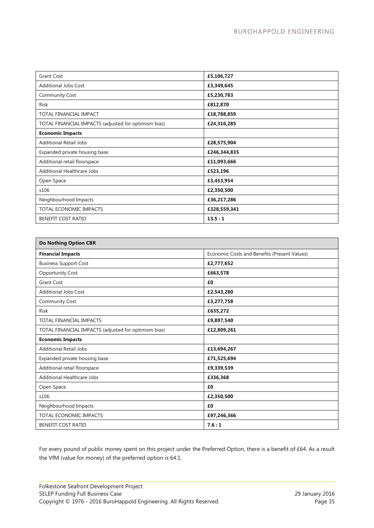| <b>Grant Cost</b>                                    | £5,106,727   |
|------------------------------------------------------|--------------|
| <b>Additional Jobs Cost</b>                          | £3,349,645   |
| <b>Community Cost</b>                                | £5,230,783   |
| Risk                                                 | £812,870     |
| TOTAL FINANCIAL IMPACT                               | £18,788,859  |
| TOTAL FINANCIAL IMPACTS (adjusted for optimism bias) | £24,316,285  |
| <b>Economic Impacts</b>                              |              |
| <b>Additional Retail Jobs</b>                        | £28,575,904  |
| Expanded private housing base                        | £246,344,835 |
| Additional retail floorspace                         | £11,093,666  |
| Additional Healthcare Jobs                           | £523,196     |
| Open Space                                           | £3,453,954   |
| s106                                                 | £2,350,500   |
| Neighbourhood Impacts                                | £36,217,286  |
| TOTAL ECONOMIC IMPACTS                               | £328,559,341 |
| <b>BENEFIT COST RATIO</b>                            | 13.5:1       |

| <b>Do Nothing Option CBR</b>                         |                                              |  |
|------------------------------------------------------|----------------------------------------------|--|
| <b>Financial Impacts</b>                             | Economic Costs and Benefits (Present Values) |  |
| <b>Business Support Cost</b>                         | £2,777,652                                   |  |
| Opportunity Cost                                     | £663,578                                     |  |
| <b>Grant Cost</b>                                    | £0                                           |  |
| <b>Additional Jobs Cost</b>                          | £2,543,280                                   |  |
| Community Cost                                       | £3,277,758                                   |  |
| <b>Risk</b>                                          | £635,272                                     |  |
| <b>TOTAL FINANCIAL IMPACTS</b>                       | £9,897,540                                   |  |
| TOTAL FINANCIAL IMPACTS (adjusted for optimism bias) | £12,809,261                                  |  |
| <b>Economic Impacts</b>                              |                                              |  |
| <b>Additional Retail Jobs</b>                        | £13,694,267                                  |  |
| Expanded private housing base                        | £71,525,694                                  |  |
| Additional retail floorspace                         | £9,339,539                                   |  |
| <b>Additional Healthcare Jobs</b>                    | £336,368                                     |  |
| Open Space                                           | £0                                           |  |
| s106                                                 | £2,350,500                                   |  |
| Neighbourhood Impacts                                | £0                                           |  |
| <b>TOTAL ECONOMIC IMPACTS</b>                        | £97,246,366                                  |  |
| <b>BENEFIT COST RATIO</b>                            | 7.6:1                                        |  |

For every pound of public money spent on this project under the Preferred Option, there is a benefit of £64. As a result the VfM (value for money) of the preferred option is 64:1.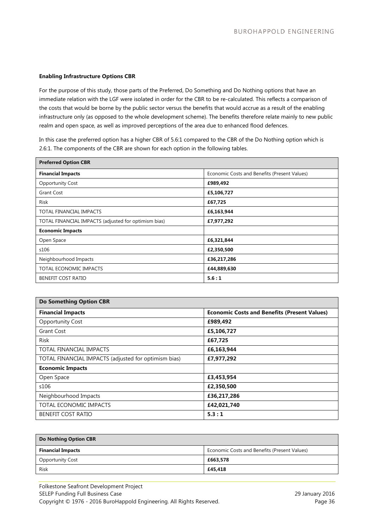### **Enabling Infrastructure Options CBR**

For the purpose of this study, those parts of the Preferred, Do Something and Do Nothing options that have an immediate relation with the LGF were isolated in order for the CBR to be re-calculated. This reflects a comparison of the costs that would be borne by the public sector versus the benefits that would accrue as a result of the enabling infrastructure only (as opposed to the whole development scheme). The benefits therefore relate mainly to new public realm and open space, as well as improved perceptions of the area due to enhanced flood defences.

In this case the preferred option has a higher CBR of 5.6:1 compared to the CBR of the Do Nothing option which is 2.6:1. The components of the CBR are shown for each option in the following tables.

| <b>Preferred Option CBR</b>                          |                                              |  |  |
|------------------------------------------------------|----------------------------------------------|--|--|
| <b>Financial Impacts</b>                             | Economic Costs and Benefits (Present Values) |  |  |
| <b>Opportunity Cost</b>                              | £989,492                                     |  |  |
| <b>Grant Cost</b>                                    | £5,106,727                                   |  |  |
| <b>Risk</b>                                          | £67,725                                      |  |  |
| <b>TOTAL FINANCIAL IMPACTS</b>                       | £6,163,944                                   |  |  |
| TOTAL FINANCIAL IMPACTS (adjusted for optimism bias) | £7,977,292                                   |  |  |
| <b>Economic Impacts</b>                              |                                              |  |  |
| Open Space                                           | £6,321,844                                   |  |  |
| s106                                                 | £2,350,500                                   |  |  |
| Neighbourhood Impacts                                | £36,217,286                                  |  |  |
| <b>TOTAL ECONOMIC IMPACTS</b>                        | £44,889,630                                  |  |  |
| <b>BENEFIT COST RATIO</b>                            | 5.6:1                                        |  |  |

| <b>Do Something Option CBR</b>                       |                                                     |  |  |
|------------------------------------------------------|-----------------------------------------------------|--|--|
| <b>Financial Impacts</b>                             | <b>Economic Costs and Benefits (Present Values)</b> |  |  |
| <b>Opportunity Cost</b>                              | £989,492                                            |  |  |
| Grant Cost                                           | £5,106,727                                          |  |  |
| <b>Risk</b>                                          | £67,725                                             |  |  |
| TOTAL FINANCIAL IMPACTS                              | £6,163,944                                          |  |  |
| TOTAL FINANCIAL IMPACTS (adjusted for optimism bias) | £7,977,292                                          |  |  |
| <b>Economic Impacts</b>                              |                                                     |  |  |
| Open Space                                           | £3,453,954                                          |  |  |
| s106                                                 | £2,350,500                                          |  |  |
| Neighbourhood Impacts                                | £36,217,286                                         |  |  |
| <b>TOTAL ECONOMIC IMPACTS</b>                        | £42,021,740                                         |  |  |
| <b>BENEFIT COST RATIO</b>                            | 5.3:1                                               |  |  |

| <b>Do Nothing Option CBR</b> |                                              |  |
|------------------------------|----------------------------------------------|--|
| <b>Financial Impacts</b>     | Economic Costs and Benefits (Present Values) |  |
| <b>Opportunity Cost</b>      | £663,578                                     |  |
| <b>Risk</b>                  | £45,418                                      |  |

Folkestone Seafront Development Project SELEP Funding Full Business Case 29 January 2016 Copyright © 1976 - 2016 BuroHappold Engineering. All Rights Reserved. Page 36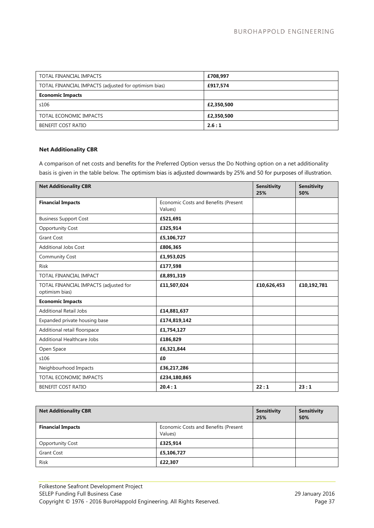| TOTAL FINANCIAL IMPACTS                              | £708,997   |
|------------------------------------------------------|------------|
| TOTAL FINANCIAL IMPACTS (adjusted for optimism bias) | £917,574   |
| <b>Economic Impacts</b>                              |            |
| s106                                                 | £2,350,500 |
| TOTAL ECONOMIC IMPACTS                               | £2,350,500 |
| <b>BENEFIT COST RATIO</b>                            | 2.6:1      |

#### **Net Additionality CBR**

A comparison of net costs and benefits for the Preferred Option versus the Do Nothing option on a net additionality basis is given in the table below. The optimism bias is adjusted downwards by 25% and 50 for purposes of illustration.

| <b>Net Additionality CBR</b>                            |                                                        | <b>Sensitivity</b><br>25% | <b>Sensitivity</b><br>50% |
|---------------------------------------------------------|--------------------------------------------------------|---------------------------|---------------------------|
| <b>Financial Impacts</b>                                | <b>Economic Costs and Benefits (Present</b><br>Values) |                           |                           |
| <b>Business Support Cost</b>                            | £521,691                                               |                           |                           |
| <b>Opportunity Cost</b>                                 | £325,914                                               |                           |                           |
| <b>Grant Cost</b>                                       | £5,106,727                                             |                           |                           |
| <b>Additional Jobs Cost</b>                             | £806,365                                               |                           |                           |
| <b>Community Cost</b>                                   | £1,953,025                                             |                           |                           |
| <b>Risk</b>                                             | £177,598                                               |                           |                           |
| TOTAL FINANCIAL IMPACT                                  | £8,891,319                                             |                           |                           |
| TOTAL FINANCIAL IMPACTS (adjusted for<br>optimism bias) | £11,507,024                                            | £10,626,453               | £10,192,781               |
| <b>Economic Impacts</b>                                 |                                                        |                           |                           |
| <b>Additional Retail Jobs</b>                           | £14,881,637                                            |                           |                           |
| Expanded private housing base                           | £174,819,142                                           |                           |                           |
| Additional retail floorspace                            | £1,754,127                                             |                           |                           |
| <b>Additional Healthcare Jobs</b>                       | £186,829                                               |                           |                           |
| Open Space                                              | £6,321,844                                             |                           |                           |
| s106                                                    | £0                                                     |                           |                           |
| Neighbourhood Impacts                                   | £36,217,286                                            |                           |                           |
| <b>TOTAL ECONOMIC IMPACTS</b>                           | £234,180,865                                           |                           |                           |
| <b>BENEFIT COST RATIO</b>                               | 20.4:1                                                 | 22:1                      | 23:1                      |

| <b>Net Additionality CBR</b> |                                                 | <b>Sensitivity</b><br>25% | <b>Sensitivity</b><br>50% |
|------------------------------|-------------------------------------------------|---------------------------|---------------------------|
| <b>Financial Impacts</b>     | Economic Costs and Benefits (Present<br>Values) |                           |                           |
| <b>Opportunity Cost</b>      | £325,914                                        |                           |                           |
| <b>Grant Cost</b>            | £5,106,727                                      |                           |                           |
| <b>Risk</b>                  | £22,307                                         |                           |                           |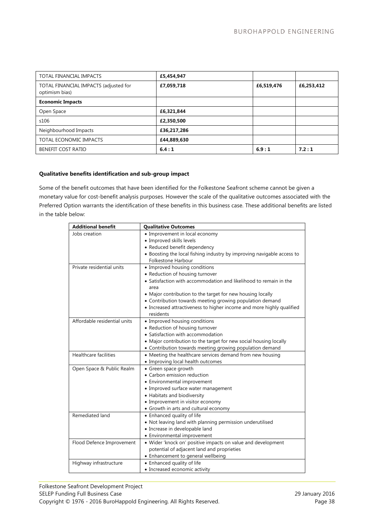| TOTAL FINANCIAL IMPACTS                                 | £5,454,947  |            |            |
|---------------------------------------------------------|-------------|------------|------------|
| TOTAL FINANCIAL IMPACTS (adjusted for<br>optimism bias) | £7,059,718  | £6,519,476 | £6,253,412 |
| <b>Economic Impacts</b>                                 |             |            |            |
| Open Space                                              | £6,321,844  |            |            |
| s106                                                    | £2,350,500  |            |            |
| Neighbourhood Impacts                                   | £36,217,286 |            |            |
| TOTAL ECONOMIC IMPACTS                                  | £44,889,630 |            |            |
| <b>BENEFIT COST RATIO</b>                               | 6.4:1       | 6.9:1      | 7.2:1      |

#### **Qualitative benefits identification and sub-group impact**

Some of the benefit outcomes that have been identified for the Folkestone Seafront scheme cannot be given a monetary value for cost-benefit analysis purposes. However the scale of the qualitative outcomes associated with the Preferred Option warrants the identification of these benefits in this business case. These additional benefits are listed in the table below:

| <b>Additional benefit</b>    | <b>Qualitative Outcomes</b>                                            |  |
|------------------------------|------------------------------------------------------------------------|--|
| Jobs creation                | • Improvement in local economy                                         |  |
|                              | · Improved skills levels                                               |  |
|                              | • Reduced benefit dependency                                           |  |
|                              | • Boosting the local fishing industry by improving navigable access to |  |
|                              | Folkestone Harbour                                                     |  |
| Private residential units    | • Improved housing conditions                                          |  |
|                              | • Reduction of housing turnover                                        |  |
|                              | • Satisfaction with accommodation and likelihood to remain in the      |  |
|                              | area                                                                   |  |
|                              | • Major contribution to the target for new housing locally             |  |
|                              | • Contribution towards meeting growing population demand               |  |
|                              | • Increased attractiveness to higher income and more highly qualified  |  |
|                              | residents                                                              |  |
| Affordable residential units | • Improved housing conditions                                          |  |
|                              | • Reduction of housing turnover                                        |  |
|                              | • Satisfaction with accommodation                                      |  |
|                              | • Major contribution to the target for new social housing locally      |  |
|                              | • Contribution towards meeting growing population demand               |  |
| Healthcare facilities        | • Meeting the healthcare services demand from new housing              |  |
|                              | • Improving local health outcomes                                      |  |
| Open Space & Public Realm    | • Green space growth                                                   |  |
|                              | • Carbon emission reduction                                            |  |
|                              | • Environmental improvement                                            |  |
|                              | • Improved surface water management                                    |  |
|                              | • Habitats and biodiversity                                            |  |
|                              | • Improvement in visitor economy                                       |  |
|                              | • Growth in arts and cultural economy                                  |  |
| Remediated land              | • Enhanced quality of life                                             |  |
|                              | • Not leaving land with planning permission underutilised              |  |
|                              | · Increase in developable land                                         |  |
|                              | • Environmental improvement                                            |  |
| Flood Defence Improvement    | • Wider 'knock on' positive impacts on value and development           |  |
|                              | potential of adjacent land and proprieties                             |  |
|                              | • Enhancement to general wellbeing                                     |  |
| Highway infrastructure       | • Enhanced quality of life                                             |  |
|                              | • Increased economic activity                                          |  |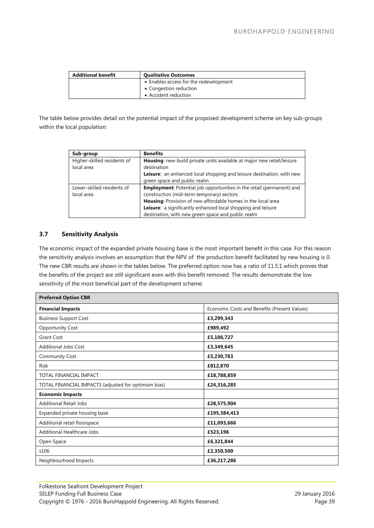| <b>Additional benefit</b> | <b>Qualitative Outcomes</b>            |
|---------------------------|----------------------------------------|
|                           | • Enables access for the redevelopment |
|                           | • Congestion reduction                 |
|                           | • Accident reduction                   |

The table below provides detail on the potential impact of the proposed development scheme on key sub-groups within the local population:

| Sub-group                   | <b>Benefits</b>                                                              |
|-----------------------------|------------------------------------------------------------------------------|
| Higher-skilled residents of | Housing: new-build private units available at major new retail/leisure       |
| local area                  | destination                                                                  |
|                             | Leisure: an enhanced local shopping and leisure destination, with new        |
|                             | green space and public realm                                                 |
| Lower-skilled residents of  | <b>Employment:</b> Potential job opportunities in the retail (permanent) and |
| local area                  | construction (mid-term temporary) sectors                                    |
|                             | Housing: Provision of new affordable homes in the local area                 |
|                             | <b>Leisure:</b> a significantly enhanced local shopping and leisure          |
|                             | destination, with new green space and public realm                           |

### <span id="page-38-0"></span>**3.7 Sensitivity Analysis**

The economic impact of the expanded private housing base is the most important benefit in this case. For this reason the sensitivity analysis involves an assumption that the NPV of the production benefit facilitated by new housing is 0. The new CBR results are shown in the tables below. The preferred option now has a ratio of 11.5:1 which proves that the benefits of the project are still significant even with this benefit removed. The results demonstrate the low sensitivity of the most beneficial part of the development scheme.

| <b>Preferred Option CBR</b>                          |                                              |  |
|------------------------------------------------------|----------------------------------------------|--|
| <b>Financial Impacts</b>                             | Economic Costs and Benefits (Present Values) |  |
| <b>Business Support Cost</b>                         | £3,299,343                                   |  |
| Opportunity Cost                                     | £989,492                                     |  |
| <b>Grant Cost</b>                                    | £5,106,727                                   |  |
| <b>Additional Jobs Cost</b>                          | £3,349,645                                   |  |
| <b>Community Cost</b>                                | £5,230,783                                   |  |
| <b>Risk</b>                                          | £812,870                                     |  |
| <b>TOTAL FINANCIAL IMPACT</b>                        | £18,788,859                                  |  |
| TOTAL FINANCIAL IMPACTS (adjusted for optimism bias) | £24,316,285                                  |  |
| <b>Economic Impacts</b>                              |                                              |  |
| <b>Additional Retail Jobs</b>                        | £28,575,904                                  |  |
| Expanded private housing base                        | £195,384,413                                 |  |
| Additional retail floorspace                         | £11,093,666                                  |  |
| <b>Additional Healthcare Jobs</b>                    | £523,196                                     |  |
| Open Space                                           | £6,321,844                                   |  |
| s106                                                 | £2,350,500                                   |  |
| Neighbourhood Impacts                                | £36,217,286                                  |  |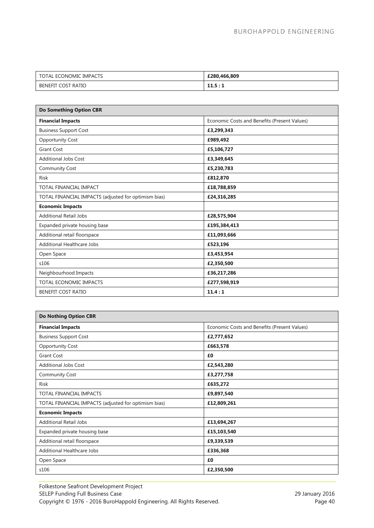| <b>TAL ECONOMIC IMPACTS</b><br><b>TOT</b> | £280,466,809 |
|-------------------------------------------|--------------|
| <b>BENEFIT COST RATIO</b>                 | 11.5:1       |

| <b>Do Something Option CBR</b>                       |                                              |
|------------------------------------------------------|----------------------------------------------|
| <b>Financial Impacts</b>                             | Economic Costs and Benefits (Present Values) |
| <b>Business Support Cost</b>                         | £3,299,343                                   |
| Opportunity Cost                                     | £989,492                                     |
| <b>Grant Cost</b>                                    | £5,106,727                                   |
| <b>Additional Jobs Cost</b>                          | £3,349,645                                   |
| <b>Community Cost</b>                                | £5,230,783                                   |
| Risk                                                 | £812,870                                     |
| TOTAL FINANCIAL IMPACT                               | £18,788,859                                  |
| TOTAL FINANCIAL IMPACTS (adjusted for optimism bias) | £24,316,285                                  |
| <b>Economic Impacts</b>                              |                                              |
| <b>Additional Retail Jobs</b>                        | £28,575,904                                  |
| Expanded private housing base                        | £195,384,413                                 |
| Additional retail floorspace                         | £11,093,666                                  |
| <b>Additional Healthcare Jobs</b>                    | £523,196                                     |
| Open Space                                           | £3,453,954                                   |
| s106                                                 | £2,350,500                                   |
| Neighbourhood Impacts                                | £36,217,286                                  |
| <b>TOTAL ECONOMIC IMPACTS</b>                        | £277,598,919                                 |
| <b>BENEFIT COST RATIO</b>                            | 11.4:1                                       |

| <b>Do Nothing Option CBR</b>                         |                                              |  |  |  |  |  |  |
|------------------------------------------------------|----------------------------------------------|--|--|--|--|--|--|
| <b>Financial Impacts</b>                             | Economic Costs and Benefits (Present Values) |  |  |  |  |  |  |
| <b>Business Support Cost</b>                         | £2,777,652                                   |  |  |  |  |  |  |
| Opportunity Cost                                     | £663,578                                     |  |  |  |  |  |  |
| <b>Grant Cost</b>                                    | £0                                           |  |  |  |  |  |  |
| <b>Additional Jobs Cost</b>                          | £2,543,280                                   |  |  |  |  |  |  |
| Community Cost                                       | £3,277,758                                   |  |  |  |  |  |  |
| <b>Risk</b>                                          | £635,272                                     |  |  |  |  |  |  |
| <b>TOTAL FINANCIAL IMPACTS</b>                       | £9,897,540                                   |  |  |  |  |  |  |
| TOTAL FINANCIAL IMPACTS (adjusted for optimism bias) | £12,809,261                                  |  |  |  |  |  |  |
| <b>Economic Impacts</b>                              |                                              |  |  |  |  |  |  |
| <b>Additional Retail Jobs</b>                        | £13,694,267                                  |  |  |  |  |  |  |
| Expanded private housing base                        | £15,103,540                                  |  |  |  |  |  |  |
| Additional retail floorspace                         | £9,339,539                                   |  |  |  |  |  |  |
| <b>Additional Healthcare Jobs</b>                    | £336,368                                     |  |  |  |  |  |  |
| Open Space                                           | £0                                           |  |  |  |  |  |  |
| s106                                                 | £2,350,500                                   |  |  |  |  |  |  |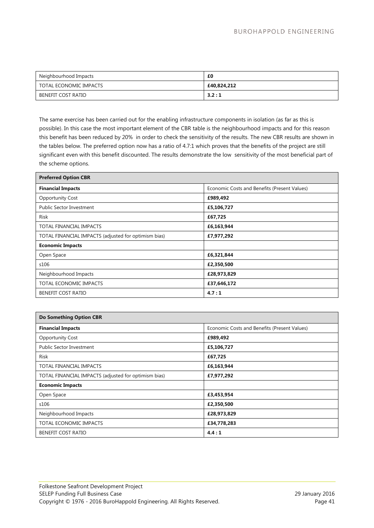| Neighbourhood Impacts  | £0          |
|------------------------|-------------|
| TOTAL ECONOMIC IMPACTS | £40,824,212 |
| BENEFIT COST RATIO     | 3.2:1       |

The same exercise has been carried out for the enabling infrastructure components in isolation (as far as this is possible). In this case the most important element of the CBR table is the neighbourhood impacts and for this reason this benefit has been reduced by 20% in order to check the sensitivity of the results. The new CBR results are shown in the tables below. The preferred option now has a ratio of 4.7:1 which proves that the benefits of the project are still significant even with this benefit discounted. The results demonstrate the low sensitivity of the most beneficial part of the scheme options.

| <b>Preferred Option CBR</b>                          |                                              |
|------------------------------------------------------|----------------------------------------------|
| <b>Financial Impacts</b>                             | Economic Costs and Benefits (Present Values) |
| <b>Opportunity Cost</b>                              | £989,492                                     |
| <b>Public Sector Investment</b>                      | £5,106,727                                   |
| Risk                                                 | £67,725                                      |
| <b>TOTAL FINANCIAL IMPACTS</b>                       | £6,163,944                                   |
| TOTAL FINANCIAL IMPACTS (adjusted for optimism bias) | £7,977,292                                   |
| <b>Economic Impacts</b>                              |                                              |
| Open Space                                           | £6,321,844                                   |
| s106                                                 | £2,350,500                                   |
| Neighbourhood Impacts                                | £28,973,829                                  |
| TOTAL ECONOMIC IMPACTS                               | £37,646,172                                  |
| <b>BENEFIT COST RATIO</b>                            | 4.7:1                                        |

| <b>Do Something Option CBR</b>                       |                                              |
|------------------------------------------------------|----------------------------------------------|
| <b>Financial Impacts</b>                             | Economic Costs and Benefits (Present Values) |
| <b>Opportunity Cost</b>                              | £989,492                                     |
| <b>Public Sector Investment</b>                      | £5,106,727                                   |
| <b>Risk</b>                                          | £67,725                                      |
| TOTAL FINANCIAL IMPACTS                              | £6,163,944                                   |
| TOTAL FINANCIAL IMPACTS (adjusted for optimism bias) | £7,977,292                                   |
| <b>Economic Impacts</b>                              |                                              |
| Open Space                                           | £3,453,954                                   |
| s106                                                 | £2,350,500                                   |
| Neighbourhood Impacts                                | £28,973,829                                  |
| <b>TOTAL ECONOMIC IMPACTS</b>                        | £34,778,283                                  |
| <b>BENEFIT COST RATIO</b>                            | 4.4:1                                        |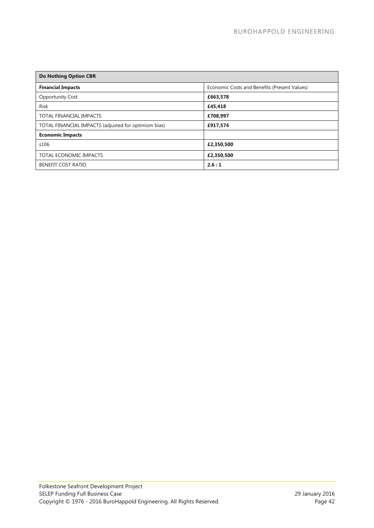| <b>Do Nothing Option CBR</b>                         |                                              |  |  |  |  |  |  |  |
|------------------------------------------------------|----------------------------------------------|--|--|--|--|--|--|--|
| <b>Financial Impacts</b>                             | Economic Costs and Benefits (Present Values) |  |  |  |  |  |  |  |
| <b>Opportunity Cost</b>                              | £663,578                                     |  |  |  |  |  |  |  |
| <b>Risk</b>                                          | £45,418                                      |  |  |  |  |  |  |  |
| <b>TOTAL FINANCIAL IMPACTS</b>                       | £708,997                                     |  |  |  |  |  |  |  |
| TOTAL FINANCIAL IMPACTS (adjusted for optimism bias) | £917,574                                     |  |  |  |  |  |  |  |
| <b>Economic Impacts</b>                              |                                              |  |  |  |  |  |  |  |
| s106                                                 | £2,350,500                                   |  |  |  |  |  |  |  |
| <b>TOTAL ECONOMIC IMPACTS</b>                        | £2,350,500                                   |  |  |  |  |  |  |  |
| <b>BENEFIT COST RATIO</b>                            | 2.6:1                                        |  |  |  |  |  |  |  |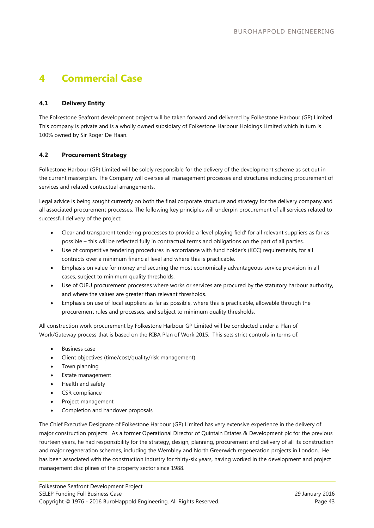# <span id="page-42-0"></span>**4 Commercial Case**

# <span id="page-42-1"></span>**4.1 Delivery Entity**

The Folkestone Seafront development project will be taken forward and delivered by Folkestone Harbour (GP) Limited. This company is private and is a wholly owned subsidiary of Folkestone Harbour Holdings Limited which in turn is 100% owned by Sir Roger De Haan.

# <span id="page-42-2"></span>**4.2 Procurement Strategy**

Folkestone Harbour (GP) Limited will be solely responsible for the delivery of the development scheme as set out in the current masterplan. The Company will oversee all management processes and structures including procurement of services and related contractual arrangements.

Legal advice is being sought currently on both the final corporate structure and strategy for the delivery company and all associated procurement processes. The following key principles will underpin procurement of all services related to successful delivery of the project:

- Clear and transparent tendering processes to provide a 'level playing field' for all relevant suppliers as far as possible – this will be reflected fully in contractual terms and obligations on the part of all parties.
- Use of competitive tendering procedures in accordance with fund holder's (KCC) requirements, for all contracts over a minimum financial level and where this is practicable.
- Emphasis on value for money and securing the most economically advantageous service provision in all cases, subject to minimum quality thresholds.
- Use of OJEU procurement processes where works or services are procured by the statutory harbour authority, and where the values are greater than relevant thresholds.
- Emphasis on use of local suppliers as far as possible, where this is practicable, allowable through the procurement rules and processes, and subject to minimum quality thresholds.

All construction work procurement by Folkestone Harbour GP Limited will be conducted under a Plan of Work/Gateway process that is based on the RIBA Plan of Work 2015. This sets strict controls in terms of:

- Business case
- Client objectives (time/cost/quality/risk management)
- Town planning
- Estate management
- Health and safety
- CSR compliance
- Project management
- Completion and handover proposals

The Chief Executive Designate of Folkestone Harbour (GP) Limited has very extensive experience in the delivery of major construction projects. As a former Operational Director of Quintain Estates & Development plc for the previous fourteen years, he had responsibility for the strategy, design, planning, procurement and delivery of all its construction and major regeneration schemes, including the Wembley and North Greenwich regeneration projects in London. He has been associated with the construction industry for thirty-six years, having worked in the development and project management disciplines of the property sector since 1988.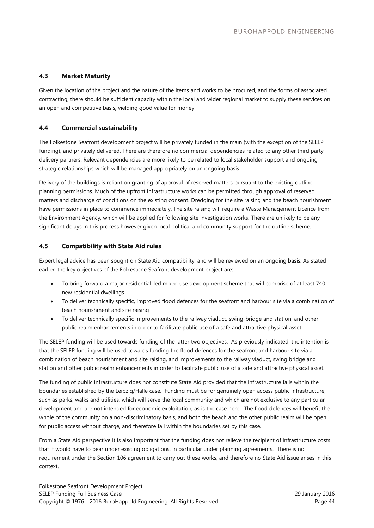# <span id="page-43-0"></span>**4.3 Market Maturity**

Given the location of the project and the nature of the items and works to be procured, and the forms of associated contracting, there should be sufficient capacity within the local and wider regional market to supply these services on an open and competitive basis, yielding good value for money.

# <span id="page-43-1"></span>**4.4 Commercial sustainability**

The Folkestone Seafront development project will be privately funded in the main (with the exception of the SELEP funding), and privately delivered. There are therefore no commercial dependencies related to any other third party delivery partners. Relevant dependencies are more likely to be related to local stakeholder support and ongoing strategic relationships which will be managed appropriately on an ongoing basis.

Delivery of the buildings is reliant on granting of approval of reserved matters pursuant to the existing outline planning permissions. Much of the upfront infrastructure works can be permitted through approval of reserved matters and discharge of conditions on the existing consent. Dredging for the site raising and the beach nourishment have permissions in place to commence immediately. The site raising will require a Waste Management Licence from the Environment Agency, which will be applied for following site investigation works. There are unlikely to be any significant delays in this process however given local political and community support for the outline scheme.

# <span id="page-43-2"></span>**4.5 Compatibility with State Aid rules**

Expert legal advice has been sought on State Aid compatibility, and will be reviewed on an ongoing basis. As stated earlier, the key objectives of the Folkestone Seafront development project are:

- To bring forward a major residential-led mixed use development scheme that will comprise of at least 740 new residential dwellings
- To deliver technically specific, improved flood defences for the seafront and harbour site via a combination of beach nourishment and site raising
- To deliver technically specific improvements to the railway viaduct, swing-bridge and station, and other public realm enhancements in order to facilitate public use of a safe and attractive physical asset

The SELEP funding will be used towards funding of the latter two objectives. As previously indicated, the intention is that the SELEP funding will be used towards funding the flood defences for the seafront and harbour site via a combination of beach nourishment and site raising, and improvements to the railway viaduct, swing bridge and station and other public realm enhancements in order to facilitate public use of a safe and attractive physical asset.

The funding of public infrastructure does not constitute State Aid provided that the infrastructure falls within the boundaries established by the Leipzig/Halle case. Funding must be for genuinely open access public infrastructure, such as parks, walks and utilities, which will serve the local community and which are not exclusive to any particular development and are not intended for economic exploitation, as is the case here. The flood defences will benefit the whole of the community on a non-discriminatory basis, and both the beach and the other public realm will be open for public access without charge, and therefore fall within the boundaries set by this case.

From a State Aid perspective it is also important that the funding does not relieve the recipient of infrastructure costs that it would have to bear under existing obligations, in particular under planning agreements. There is no requirement under the Section 106 agreement to carry out these works, and therefore no State Aid issue arises in this context.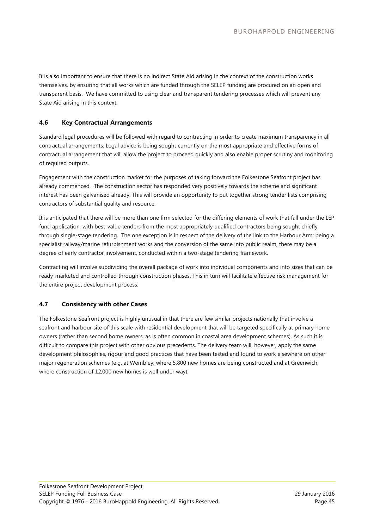It is also important to ensure that there is no indirect State Aid arising in the context of the construction works themselves, by ensuring that all works which are funded through the SELEP funding are procured on an open and transparent basis. We have committed to using clear and transparent tendering processes which will prevent any State Aid arising in this context.

### <span id="page-44-0"></span>**4.6 Key Contractual Arrangements**

Standard legal procedures will be followed with regard to contracting in order to create maximum transparency in all contractual arrangements. Legal advice is being sought currently on the most appropriate and effective forms of contractual arrangement that will allow the project to proceed quickly and also enable proper scrutiny and monitoring of required outputs.

Engagement with the construction market for the purposes of taking forward the Folkestone Seafront project has already commenced. The construction sector has responded very positively towards the scheme and significant interest has been galvanised already. This will provide an opportunity to put together strong tender lists comprising contractors of substantial quality and resource.

It is anticipated that there will be more than one firm selected for the differing elements of work that fall under the LEP fund application, with best-value tenders from the most appropriately qualified contractors being sought chiefly through single-stage tendering. The one exception is in respect of the delivery of the link to the Harbour Arm; being a specialist railway/marine refurbishment works and the conversion of the same into public realm, there may be a degree of early contractor involvement, conducted within a two-stage tendering framework.

Contracting will involve subdividing the overall package of work into individual components and into sizes that can be ready-marketed and controlled through construction phases. This in turn will facilitate effective risk management for the entire project development process.

# <span id="page-44-1"></span>**4.7 Consistency with other Cases**

The Folkestone Seafront project is highly unusual in that there are few similar projects nationally that involve a seafront and harbour site of this scale with residential development that will be targeted specifically at primary home owners (rather than second home owners, as is often common in coastal area development schemes). As such it is difficult to compare this project with other obvious precedents. The delivery team will, however, apply the same development philosophies, rigour and good practices that have been tested and found to work elsewhere on other major regeneration schemes (e.g. at Wembley, where 5,800 new homes are being constructed and at Greenwich, where construction of 12,000 new homes is well under way).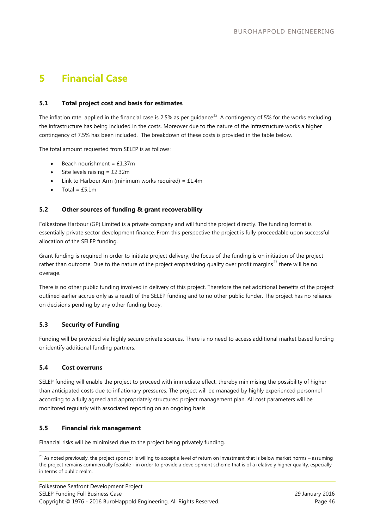# <span id="page-45-0"></span>**5 Financial Case**

### <span id="page-45-1"></span>**5.1 Total project cost and basis for estimates**

The inflation rate applied in the financial case is 2.5% as per guidance<sup>[12](#page-25-1)</sup>. A contingency of 5% for the works excluding the infrastructure has being included in the costs. Moreover due to the nature of the infrastructure works a higher contingency of 7.5% has been included. The breakdown of these costs is provided in the table below.

The total amount requested from SELEP is as follows:

- Beach nourishment =  $£1.37m$
- Site levels raising = £2.32m
- Link to Harbour Arm (minimum works required) =  $£1.4m$
- Total =  $£5.1m$

#### <span id="page-45-2"></span>**5.2 Other sources of funding & grant recoverability**

Folkestone Harbour (GP) Limited is a private company and will fund the project directly. The funding format is essentially private sector development finance. From this perspective the project is fully proceedable upon successful allocation of the SELEP funding.

Grant funding is required in order to initiate project delivery; the focus of the funding is on initiation of the project rather than outcome. Due to the nature of the project emphasising quality over profit margins<sup>23</sup> there will be no overage.

There is no other public funding involved in delivery of this project. Therefore the net additional benefits of the project outlined earlier accrue only as a result of the SELEP funding and to no other public funder. The project has no reliance on decisions pending by any other funding body.

#### <span id="page-45-3"></span>**5.3 Security of Funding**

Funding will be provided via highly secure private sources. There is no need to access additional market based funding or identify additional funding partners.

#### <span id="page-45-4"></span>**5.4 Cost overruns**

 $\overline{a}$ 

SELEP funding will enable the project to proceed with immediate effect, thereby minimising the possibility of higher than anticipated costs due to inflationary pressures. The project will be managed by highly experienced personnel according to a fully agreed and appropriately structured project management plan. All cost parameters will be monitored regularly with associated reporting on an ongoing basis.

#### <span id="page-45-5"></span>**5.5 Financial risk management**

Financial risks will be minimised due to the project being privately funding.

 $^{23}$  As noted previously, the project sponsor is willing to accept a level of return on investment that is below market norms – assuming the project remains commercially feasible - in order to provide a development scheme that is of a relatively higher quality, especially in terms of public realm.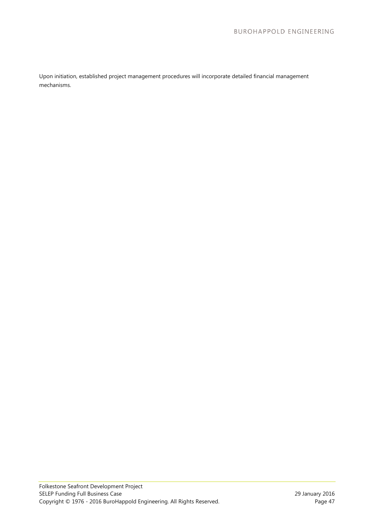Upon initiation, established project management procedures will incorporate detailed financial management mechanisms.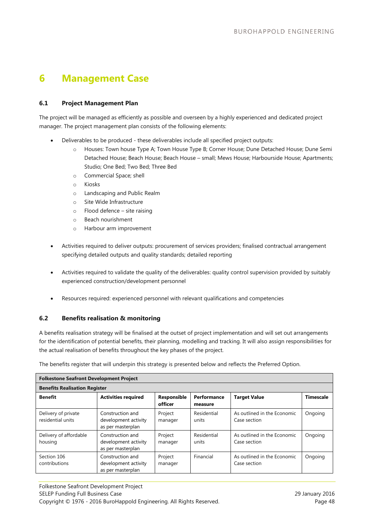# <span id="page-47-0"></span>**6 Management Case**

### <span id="page-47-1"></span>**6.1 Project Management Plan**

The project will be managed as efficiently as possible and overseen by a highly experienced and dedicated project manager. The project management plan consists of the following elements:

- Deliverables to be produced these deliverables include all specified project outputs:
	- o Houses: Town house Type A; Town House Type B; Corner House; Dune Detached House; Dune Semi Detached House; Beach House; Beach House – small; Mews House; Harbourside House; Apartments; Studio; One Bed; Two Bed; Three Bed
	- o Commercial Space; shell
	- o Kiosks
	- o Landscaping and Public Realm
	- o Site Wide Infrastructure
	- o Flood defence site raising
	- o Beach nourishment
	- o Harbour arm improvement
- Activities required to deliver outputs: procurement of services providers; finalised contractual arrangement specifying detailed outputs and quality standards; detailed reporting
- Activities required to validate the quality of the deliverables: quality control supervision provided by suitably experienced construction/development personnel
- Resources required: experienced personnel with relevant qualifications and competencies

# <span id="page-47-2"></span>**6.2 Benefits realisation & monitoring**

A benefits realisation strategy will be finalised at the outset of project implementation and will set out arrangements for the identification of potential benefits, their planning, modelling and tracking. It will also assign responsibilities for the actual realisation of benefits throughout the key phases of the project.

The benefits register that will underpin this strategy is presented below and reflects the Preferred Option.

| <b>Folkestone Seafront Development Project</b>                                                |                                                               |                        |                        |                                             |                  |  |  |  |  |  |  |
|-----------------------------------------------------------------------------------------------|---------------------------------------------------------------|------------------------|------------------------|---------------------------------------------|------------------|--|--|--|--|--|--|
| <b>Benefits Realisation Register</b>                                                          |                                                               |                        |                        |                                             |                  |  |  |  |  |  |  |
| <b>Benefit</b>                                                                                | <b>Activities required</b>                                    | Responsible<br>officer | Performance<br>measure | <b>Target Value</b>                         | <b>Timescale</b> |  |  |  |  |  |  |
| Delivery of private<br>residential units                                                      | Construction and<br>development activity<br>as per masterplan | Project<br>manager     | Residential<br>units   | As outlined in the Economic<br>Case section | Ongoing          |  |  |  |  |  |  |
| Delivery of affordable<br>housing                                                             | Construction and<br>development activity<br>as per masterplan | Project<br>manager     | Residential<br>units   | As outlined in the Economic<br>Case section | Ongoing          |  |  |  |  |  |  |
| Section 106<br>Construction and<br>contributions<br>development activity<br>as per masterplan |                                                               | Project<br>manager     | Financial              | As outlined in the Economic<br>Case section | Ongoing          |  |  |  |  |  |  |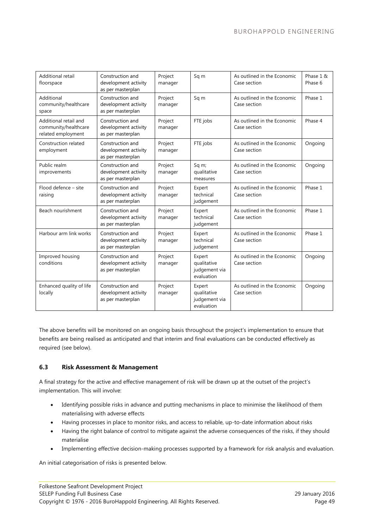| Additional retail<br>floorspace                                     | Construction and<br>development activity<br>as per masterplan | Project<br>manager | Sq m                                                 | As outlined in the Economic<br>Case section | Phase 1 &<br>Phase 6 |
|---------------------------------------------------------------------|---------------------------------------------------------------|--------------------|------------------------------------------------------|---------------------------------------------|----------------------|
| Additional<br>community/healthcare<br>space                         | Construction and<br>development activity<br>as per masterplan | Project<br>manager | Sq m                                                 | As outlined in the Economic<br>Case section | Phase 1              |
| Additional retail and<br>community/healthcare<br>related employment | Construction and<br>development activity<br>as per masterplan | Project<br>manager | FTE jobs                                             | As outlined in the Economic<br>Case section | Phase 4              |
| Construction related<br>employment                                  | Construction and<br>development activity<br>as per masterplan | Project<br>manager | FTE jobs                                             | As outlined in the Economic<br>Case section | Ongoing              |
| Public realm<br>improvements                                        | Construction and<br>development activity<br>as per masterplan | Project<br>manager | Sq m;<br>qualitative<br>measures                     | As outlined in the Economic<br>Case section | Ongoing              |
| Flood defence - site<br>raising                                     | Construction and<br>development activity<br>as per masterplan | Project<br>manager | Expert<br>technical<br>judgement                     | As outlined in the Economic<br>Case section | Phase 1              |
| Beach nourishment                                                   | Construction and<br>development activity<br>as per masterplan | Project<br>manager | Expert<br>technical<br>judgement                     | As outlined in the Economic<br>Case section | Phase 1              |
| Harbour arm link works                                              | Construction and<br>development activity<br>as per masterplan | Project<br>manager | Expert<br>technical<br>judgement                     | As outlined in the Economic<br>Case section | Phase 1              |
| Improved housing<br>conditions                                      | Construction and<br>development activity<br>as per masterplan | Project<br>manager | Expert<br>qualitative<br>judgement via<br>evaluation | As outlined in the Economic<br>Case section | Ongoing              |
| Enhanced quality of life<br>locally                                 | Construction and<br>development activity<br>as per masterplan | Project<br>manager | Expert<br>qualitative<br>judgement via<br>evaluation | As outlined in the Economic<br>Case section | Ongoing              |

The above benefits will be monitored on an ongoing basis throughout the project's implementation to ensure that benefits are being realised as anticipated and that interim and final evaluations can be conducted effectively as required (see below).

# <span id="page-48-0"></span>**6.3 Risk Assessment & Management**

A final strategy for the active and effective management of risk will be drawn up at the outset of the project's implementation. This will involve:

- Identifying possible risks in advance and putting mechanisms in place to minimise the likelihood of them materialising with adverse effects
- Having processes in place to monitor risks, and access to reliable, up-to-date information about risks
- Having the right balance of control to mitigate against the adverse consequences of the risks, if they should materialise
- Implementing effective decision-making processes supported by a framework for risk analysis and evaluation.

An initial categorisation of risks is presented below.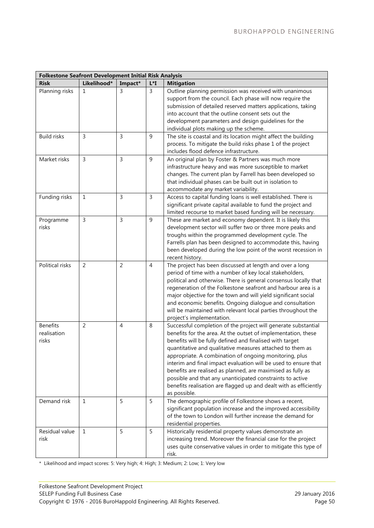| <b>Folkestone Seafront Development Initial Risk Analysis</b> |                |                |                  |                                                                                                                                                                                                                                                                                                                                                                                                                                                                                                                                                                                                        |  |  |  |  |  |  |
|--------------------------------------------------------------|----------------|----------------|------------------|--------------------------------------------------------------------------------------------------------------------------------------------------------------------------------------------------------------------------------------------------------------------------------------------------------------------------------------------------------------------------------------------------------------------------------------------------------------------------------------------------------------------------------------------------------------------------------------------------------|--|--|--|--|--|--|
| <b>Risk</b>                                                  | Likelihood*    | Impact*        | L*I              | <b>Mitigation</b>                                                                                                                                                                                                                                                                                                                                                                                                                                                                                                                                                                                      |  |  |  |  |  |  |
| Planning risks                                               | $\mathbf{1}$   | 3              | $\overline{3}$   | Outline planning permission was received with unanimous<br>support from the council. Each phase will now require the<br>submission of detailed reserved matters applications, taking<br>into account that the outline consent sets out the<br>development parameters and design guidelines for the<br>individual plots making up the scheme.                                                                                                                                                                                                                                                           |  |  |  |  |  |  |
| <b>Build risks</b>                                           | 3              | 3              | $\boldsymbol{9}$ | The site is coastal and its location might affect the building<br>process. To mitigate the build risks phase 1 of the project<br>includes flood defence infrastructure.                                                                                                                                                                                                                                                                                                                                                                                                                                |  |  |  |  |  |  |
| Market risks                                                 | 3              | $\overline{3}$ | 9                | An original plan by Foster & Partners was much more<br>infrastructure heavy and was more susceptible to market<br>changes. The current plan by Farrell has been developed so<br>that individual phases can be built out in isolation to<br>accommodate any market variability.                                                                                                                                                                                                                                                                                                                         |  |  |  |  |  |  |
| Funding risks                                                | $\mathbf{1}$   | 3              | $\overline{3}$   | Access to capital funding loans is well established. There is<br>significant private capital available to fund the project and<br>limited recourse to market based funding will be necessary.                                                                                                                                                                                                                                                                                                                                                                                                          |  |  |  |  |  |  |
| Programme<br>risks                                           | 3              | $\overline{3}$ | 9                | These are market and economy dependent. It is likely this<br>development sector will suffer two or three more peaks and<br>troughs within the programmed development cycle. The<br>Farrells plan has been designed to accommodate this, having<br>been developed during the low point of the worst recession in<br>recent history.                                                                                                                                                                                                                                                                     |  |  |  |  |  |  |
| Political risks                                              | $\overline{2}$ | $\overline{2}$ | $\overline{4}$   | The project has been discussed at length and over a long<br>period of time with a number of key local stakeholders,<br>political and otherwise. There is general consensus locally that<br>regeneration of the Folkestone seafront and harbour area is a<br>major objective for the town and will yield significant social<br>and economic benefits. Ongoing dialogue and consultation<br>will be maintained with relevant local parties throughout the<br>project's implementation.                                                                                                                   |  |  |  |  |  |  |
| <b>Benefits</b><br>realisation<br>risks                      | $\overline{2}$ | 4              | 8                | Successful completion of the project will generate substantial<br>benefits for the area. At the outset of implementation, these<br>benefits will be fully defined and finalised with target<br>quantitative and qualitative measures attached to them as<br>appropriate. A combination of ongoing monitoring, plus<br>interim and final impact evaluation will be used to ensure that<br>benefits are realised as planned, are maximised as fully as<br>possible and that any unanticipated constraints to active<br>benefits realisation are flagged up and dealt with as efficiently<br>as possible. |  |  |  |  |  |  |
| Demand risk                                                  | $\mathbf{1}$   | 5              | 5                | The demographic profile of Folkestone shows a recent,<br>significant population increase and the improved accessibility<br>of the town to London will further increase the demand for<br>residential properties.                                                                                                                                                                                                                                                                                                                                                                                       |  |  |  |  |  |  |
| Residual value<br>risk                                       | $\mathbf{1}$   | 5              | 5                | Historically residential property values demonstrate an<br>increasing trend. Moreover the financial case for the project<br>uses quite conservative values in order to mitigate this type of<br>risk.                                                                                                                                                                                                                                                                                                                                                                                                  |  |  |  |  |  |  |

\* Likelihood and impact scores: 5: Very high; 4: High; 3: Medium; 2: Low; 1: Very low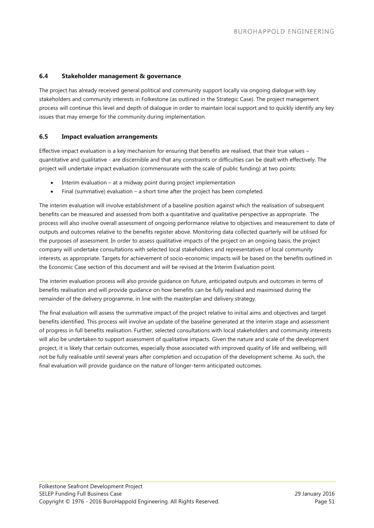### <span id="page-50-0"></span>**6.4 Stakeholder management & governance**

The project has already received general political and community support locally via ongoing dialogue with key stakeholders and community interests in Folkestone (as outlined in the Strategic Case). The project management process will continue this level and depth of dialogue in order to maintain local support and to quickly identify any key issues that may emerge for the community during implementation.

#### <span id="page-50-1"></span>**6.5 Impact evaluation arrangements**

Effective impact evaluation is a key mechanism for ensuring that benefits are realised, that their true values – quantitative and qualitative - are discernible and that any constraints or difficulties can be dealt with effectively. The project will undertake impact evaluation (commensurate with the scale of public funding) at two points:

- Interim evaluation at a midway point during project implementation
- Final (summative) evaluation a short time after the project has been completed.

The interim evaluation will involve establishment of a baseline position against which the realisation of subsequent benefits can be measured and assessed from both a quantitative and qualitative perspective as appropriate. The process will also involve overall assessment of ongoing performance relative to objectives and measurement to date of outputs and outcomes relative to the benefits register above. Monitoring data collected quarterly will be utilised for the purposes of assessment. In order to assess qualitative impacts of the project on an ongoing basis, the project company will undertake consultations with selected local stakeholders and representatives of local community interests, as appropriate. Targets for achievement of socio-economic impacts will be based on the benefits outlined in the Economic Case section of this document and will be revised at the Interim Evaluation point.

The interim evaluation process will also provide guidance on future, anticipated outputs and outcomes in terms of benefits realisation and will provide guidance on how benefits can be fully realised and maximised during the remainder of the delivery programme, in line with the masterplan and delivery strategy.

The final evaluation will assess the summative impact of the project relative to initial aims and objectives and target benefits identified. This process will involve an update of the baseline generated at the interim stage and assessment of progress in full benefits realisation. Further, selected consultations with local stakeholders and community interests will also be undertaken to support assessment of qualitative impacts. Given the nature and scale of the development project, it is likely that certain outcomes, especially those associated with improved quality of life and wellbeing, will not be fully realisable until several years after completion and occupation of the development scheme. As such, the final evaluation will provide guidance on the nature of longer-term anticipated outcomes.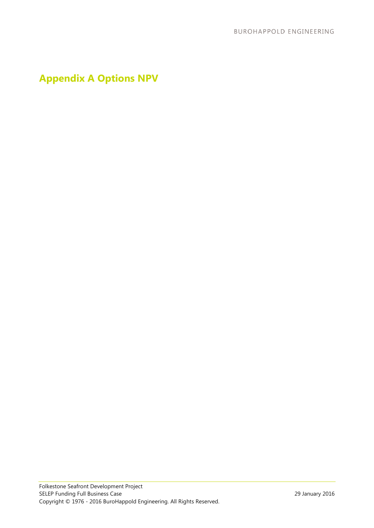<span id="page-51-0"></span>**Appendix A Options NPV**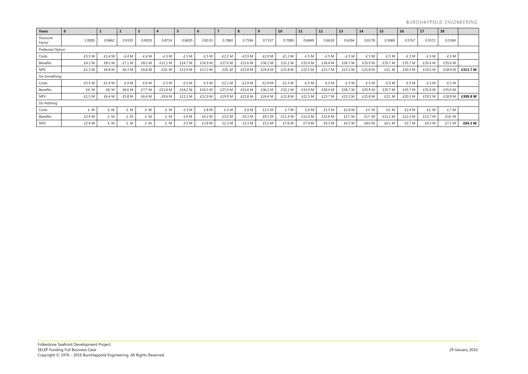BUROHAPPOLD ENGINEERING

| Years                   | $\mathbf{0}$ |           |          |          |          |         | 6       |           | 8         | 9        | 10        | 11      | 12       | 13      | <b>14</b> | 15      | 16       | <b>17</b> | 18      |          |
|-------------------------|--------------|-----------|----------|----------|----------|---------|---------|-----------|-----------|----------|-----------|---------|----------|---------|-----------|---------|----------|-----------|---------|----------|
| Discount<br>Factor      | 1.0000       | 0.9662    | 0.9335   | 0.9019   | 0.8714   | 0.8420  | 0.8135  | 0.7860    | 0.7594    | 0.7337   | 0.7089    | 0.6849  | 0.6618   | 0.6394  | 0.6178    | 0.5969  | 0.5767   | 0.5572    | 0.5384  |          |
| <b>Preferred Option</b> |              |           |          |          |          |         |         |           |           |          |           |         |          |         |           |         |          |           |         |          |
| Costs                   | $-E5.5M$     | $-E1.4 M$ | $-E.4 M$ | $-E.6 M$ | $-E.5$ M | $-E.5M$ | $-E.5M$ | $-E2.1$ M | $-E2.9 M$ | $-E2.9M$ | $-E1.3 M$ | $-E.5M$ | $-E.5M$  | $-E.5M$ | $-E.5$ M  | $-E.5M$ | $-E.5M$  | $-E.5$ M  | $-E.5M$ |          |
| Benefits                | £4.2 M       | £8.5 M    | £7.1 M   | £8.2 M   | £12.1 M  | £14.7 M | £16.9 M | £27.6 M   | £31.6 M   | £36.2 M  | £32.1 M   | £33.4 M | £36.4 M  | £36.7 M | £35.9 M   | £35.7 M | £35.7 M  | £35.6 M   | £35.6 M |          |
| <b>NPV</b>              | $-E1,3$ M    | £6.8 M    | £6.3 M   | £6.8 M   | £10. M   | £11.9 M | £13.3 M | £20. M    | £21.8 M   | £24.4 M  | £21.8 M   | £22.5 M | £23.7 M  | £23.1 M | £21.8 M   | £21. M  | £20.3 M  | £19.5 M   | £18.9 M | £312.7 M |
| Do Something            |              |           |          |          |          |         |         |           |           |          |           |         |          |         |           |         |          |           |         |          |
| Costs                   | $-E5.5M$     | $-E1.4 M$ | $-E.4 M$ | $-E.6$ M | $-E.5$ M | $-E.5M$ | $-E.5M$ | $-E2.1 M$ | $-E2.9 M$ | $-E2.9M$ | $-E1.3$ M | $-E.5M$ | $-E.5$ M | $-E.5M$ | $-E.5M$   | $-E.5M$ | $-E.5$ M | $-E.5$ M  | $-E.5M$ |          |
| Benefits                | £4. M        | £8. M     | £6.6 M   | £7.7 M   | £11.6 M  | £14.2 M | £16.5 M | £27.4 M   | £31.6 M   | £36.2 M  | £32.1 M   | £33.4 M | £36.4 M  | £36.7 M | £35.9 M   | £35.7 M | £35.7 M  | £35.6 M   | £35.6 M |          |
| <b>NPV</b>              | $-E1,5$ M    | £6.4 M    | £5.8 M   | £6.4 M   | £9.6 M   | £11.5 M | £12.9 M | £19.9 M   | £21.8 M   | £24.4 M  | £21.8 M   | £22.5 M | £23.7 M  | £23.1 M | £21.8 M   | £21. M  | £20.3 M  | £19.5 M   | £18.9 M | £309.8 M |
| Do Nothing              |              |           |          |          |          |         |         |           |           |          |           |         |          |         |           |         |          |           |         |          |
| Costs                   | E. M         | £. M      | ۷. M     | £. M     | £. M     | £.3 M   | £.8 M   | £.3 M     | £.9 M     | £1.5 M   | £.7 M     | £.6 M   | £1.5 M   | £2.6 M  | £3. M     | £3. M   | £2.4 M   | £2. M     | £.7 M   |          |
| Benefits                | £2.4 M       | £. M      | E. M     | £. M     | £. M     | £.9 M   | £4.2 M  | £3.2 M    | £5.3 M    | £9.1 M   | £11.4 M   | £11.4 M | £15.6 M  | £17. M  | £17. M    | £13.2 M | £12.3 M  | £13.7 M   | £14. M  |          |
| <b>NPV</b>              | £2.4 M       | £. M      | M        | £. M     | £. M     | £.5 M   | £2.8 M  | £2.3 M    | £3.3 M    | £5.5 M   | £7.6 M    | £7.4 M  | £9.3 M   | £9.2 M  | £8.6 M    | £6.1 M  | £5.7 M   | £6.5 M    | £7.1 M  | £84.3 M  |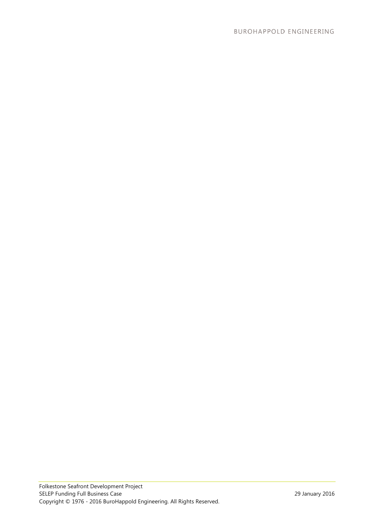# BUROHAPPOLD ENGINEERING